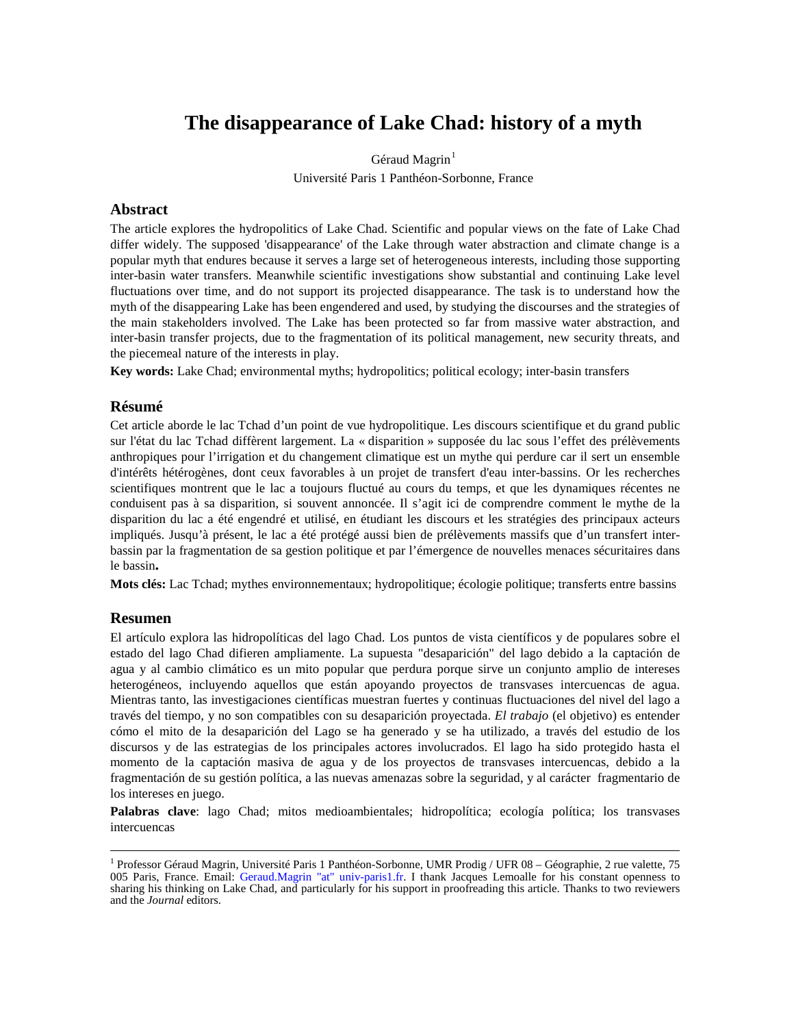# **The disappearance of Lake Chad: history of a myth**

Géraud Magrin<sup>[1](#page-0-0)</sup> Université Paris 1 Panthéon-Sorbonne, France

## **Abstract**

The article explores the hydropolitics of Lake Chad. Scientific and popular views on the fate of Lake Chad differ widely. The supposed 'disappearance' of the Lake through water abstraction and climate change is a popular myth that endures because it serves a large set of heterogeneous interests, including those supporting inter-basin water transfers. Meanwhile scientific investigations show substantial and continuing Lake level fluctuations over time, and do not support its projected disappearance. The task is to understand how the myth of the disappearing Lake has been engendered and used, by studying the discourses and the strategies of the main stakeholders involved. The Lake has been protected so far from massive water abstraction, and inter-basin transfer projects, due to the fragmentation of its political management, new security threats, and the piecemeal nature of the interests in play.

**Key words:** Lake Chad; environmental myths; hydropolitics; political ecology; inter-basin transfers

# **Résumé**

Cet article aborde le lac Tchad d'un point de vue hydropolitique. Les discours scientifique et du grand public sur l'état du lac Tchad diffèrent largement. La « disparition » supposée du lac sous l'effet des prélèvements anthropiques pour l'irrigation et du changement climatique est un mythe qui perdure car il sert un ensemble d'intérêts hétérogènes, dont ceux favorables à un projet de transfert d'eau inter-bassins. Or les recherches scientifiques montrent que le lac a toujours fluctué au cours du temps, et que les dynamiques récentes ne conduisent pas à sa disparition, si souvent annoncée. Il s'agit ici de comprendre comment le mythe de la disparition du lac a été engendré et utilisé, en étudiant les discours et les stratégies des principaux acteurs impliqués. Jusqu'à présent, le lac a été protégé aussi bien de prélèvements massifs que d'un transfert interbassin par la fragmentation de sa gestion politique et par l'émergence de nouvelles menaces sécuritaires dans le bassin**.**

**Mots clés:** Lac Tchad; mythes environnementaux; hydropolitique; écologie politique; transferts entre bassins

## **Resumen**

**.** 

El artículo explora las hidropolíticas del lago Chad. Los puntos de vista científicos y de populares sobre el estado del lago Chad difieren ampliamente. La supuesta "desaparición" del lago debido a la captación de agua y al cambio climático es un mito popular que perdura porque sirve un conjunto amplio de intereses heterogéneos, incluyendo aquellos que están apoyando proyectos de transvases intercuencas de agua. Mientras tanto, las investigaciones científicas muestran fuertes y continuas fluctuaciones del nivel del lago a través del tiempo, y no son compatibles con su desaparición proyectada. *El trabajo* (el objetivo) es entender cómo el mito de la desaparición del Lago se ha generado y se ha utilizado, a través del estudio de los discursos y de las estrategias de los principales actores involucrados. El lago ha sido protegido hasta el momento de la captación masiva de agua y de los proyectos de transvases intercuencas, debido a la fragmentación de su gestión política, a las nuevas amenazas sobre la seguridad, y al carácter fragmentario de los intereses en juego.

**Palabras clave**: lago Chad; mitos medioambientales; hidropolítica; ecología política; los transvases intercuencas

<span id="page-0-0"></span><sup>&</sup>lt;sup>1</sup> Professor Géraud Magrin, Université Paris 1 Panthéon-Sorbonne, UMR Prodig / UFR 08 – Géographie, 2 rue valette, 75 005 Paris, France. Email: Geraud.Magrin "at" univ-paris1.fr. I thank Jacques Lemoalle for his constant openness to sharing his thinking on Lake Chad, and particularly for his support in proofreading this article. Thanks to two reviewers and the *Journal* editors.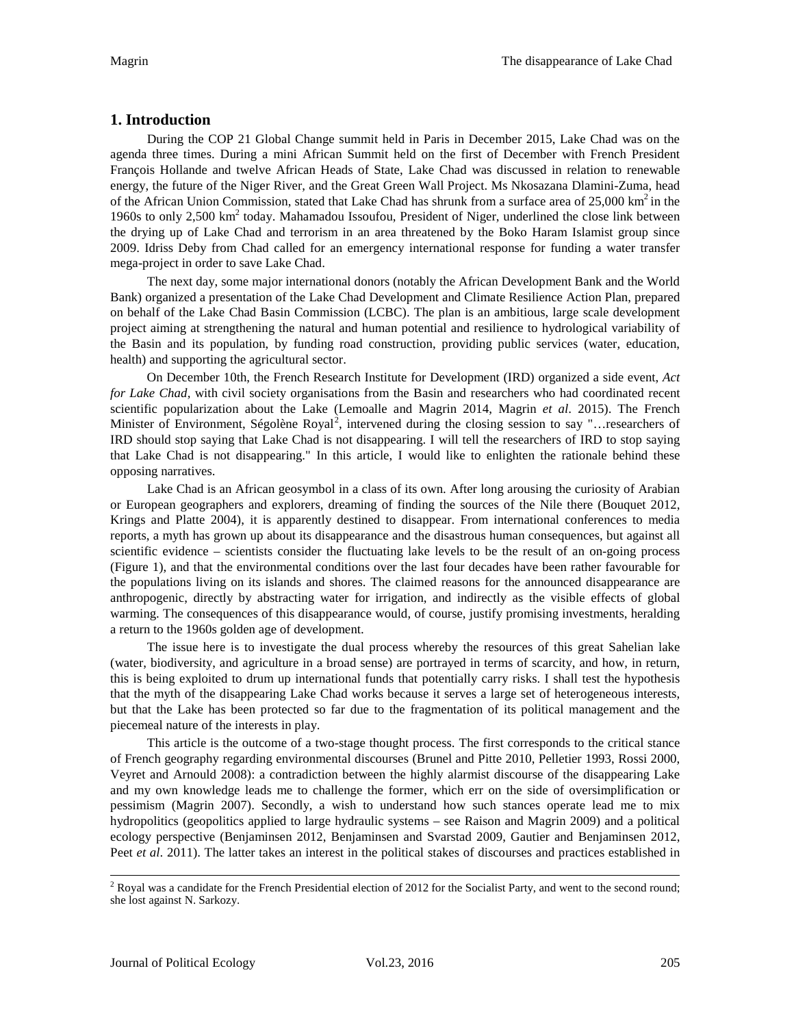# **1. Introduction**

During the COP 21 Global Change summit held in Paris in December 2015, Lake Chad was on the agenda three times. During a mini African Summit held on the first of December with French President François Hollande and twelve African Heads of State, Lake Chad was discussed in relation to renewable energy, the future of the Niger River, and the Great Green Wall Project. Ms Nkosazana Dlamini-Zuma, head of the African Union Commission, stated that Lake Chad has shrunk from a surface area of  $25,000 \text{ km}^2$  in the 1960s to only 2,500 km<sup>2</sup> today. Mahamadou Issoufou, President of Niger, underlined the close link between the drying up of Lake Chad and terrorism in an area threatened by the Boko Haram Islamist group since 2009. Idriss Deby from Chad called for an emergency international response for funding a water transfer mega-project in order to save Lake Chad.

The next day, some major international donors (notably the African Development Bank and the World Bank) organized a presentation of the Lake Chad Development and Climate Resilience Action Plan, prepared on behalf of the Lake Chad Basin Commission (LCBC). The plan is an ambitious, large scale development project aiming at strengthening the natural and human potential and resilience to hydrological variability of the Basin and its population, by funding road construction, providing public services (water, education, health) and supporting the agricultural sector.

On December 10th, the French Research Institute for Development (IRD) organized a side event, *Act for Lake Chad,* with civil society organisations from the Basin and researchers who had coordinated recent scientific popularization about the Lake (Lemoalle and Magrin 2014, Magrin *et al*. 2015). The French Minister of Environment, Ségolène Royal<sup>[2](#page-1-0)</sup>, intervened during the closing session to say "...researchers of IRD should stop saying that Lake Chad is not disappearing. I will tell the researchers of IRD to stop saying that Lake Chad is not disappearing." In this article, I would like to enlighten the rationale behind these opposing narratives.

Lake Chad is an African geosymbol in a class of its own. After long arousing the curiosity of Arabian or European geographers and explorers, dreaming of finding the sources of the Nile there (Bouquet 2012, Krings and Platte 2004), it is apparently destined to disappear. From international conferences to media reports, a myth has grown up about its disappearance and the disastrous human consequences, but against all scientific evidence – scientists consider the fluctuating lake levels to be the result of an on-going process (Figure 1), and that the environmental conditions over the last four decades have been rather favourable for the populations living on its islands and shores. The claimed reasons for the announced disappearance are anthropogenic, directly by abstracting water for irrigation, and indirectly as the visible effects of global warming. The consequences of this disappearance would, of course, justify promising investments, heralding a return to the 1960s golden age of development.

The issue here is to investigate the dual process whereby the resources of this great Sahelian lake (water, biodiversity, and agriculture in a broad sense) are portrayed in terms of scarcity, and how, in return, this is being exploited to drum up international funds that potentially carry risks. I shall test the hypothesis that the myth of the disappearing Lake Chad works because it serves a large set of heterogeneous interests, but that the Lake has been protected so far due to the fragmentation of its political management and the piecemeal nature of the interests in play.

This article is the outcome of a two-stage thought process. The first corresponds to the critical stance of French geography regarding environmental discourses (Brunel and Pitte 2010, Pelletier 1993, Rossi 2000, Veyret and Arnould 2008): a contradiction between the highly alarmist discourse of the disappearing Lake and my own knowledge leads me to challenge the former, which err on the side of oversimplification or pessimism (Magrin 2007). Secondly, a wish to understand how such stances operate lead me to mix hydropolitics (geopolitics applied to large hydraulic systems – see Raison and Magrin 2009) and a political ecology perspective (Benjaminsen 2012, Benjaminsen and Svarstad 2009, Gautier and Benjaminsen 2012, Peet *et al*. 2011). The latter takes an interest in the political stakes of discourses and practices established in

<span id="page-1-0"></span> $2$  Royal was a candidate for the French Presidential election of 2012 for the Socialist Party, and went to the second round; she lost against N. Sarkozy.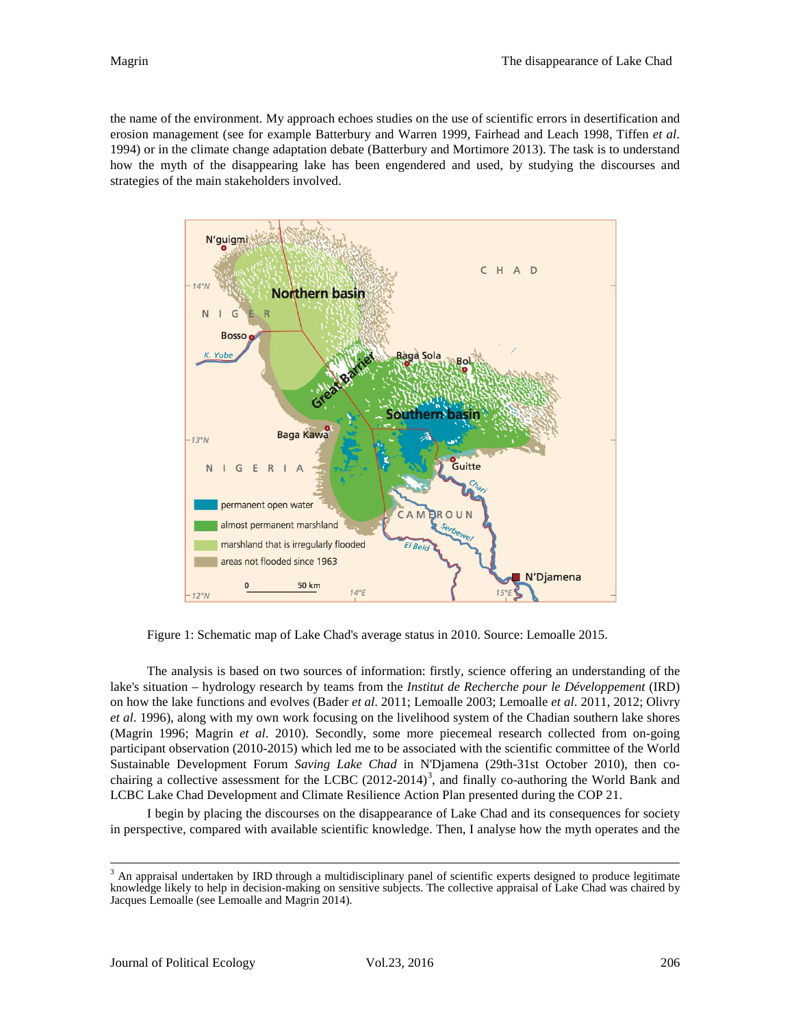the name of the environment. My approach echoes studies on the use of scientific errors in desertification and erosion management (see for example Batterbury and Warren 1999, Fairhead and Leach 1998, Tiffen *et al*. 1994) or in the climate change adaptation debate (Batterbury and Mortimore 2013). The task is to understand how the myth of the disappearing lake has been engendered and used, by studying the discourses and strategies of the main stakeholders involved.



Figure 1: Schematic map of Lake Chad's average status in 2010. Source: Lemoalle 2015.

The analysis is based on two sources of information: firstly, science offering an understanding of the lake's situation – hydrology research by teams from the *Institut de Recherche pour le Développement* (IRD) on how the lake functions and evolves (Bader *et al*. 2011; Lemoalle 2003; Lemoalle *et al*. 2011, 2012; Olivry *et al*. 1996), along with my own work focusing on the livelihood system of the Chadian southern lake shores (Magrin 1996; Magrin *et al*. 2010). Secondly, some more piecemeal research collected from on-going participant observation (2010-2015) which led me to be associated with the scientific committee of the World Sustainable Development Forum *Saving Lake Chad* in N'Djamena (29th-31st October 2010), then cochairing a collective assessment for the LCBC  $(2012{\text -}2014)^3$  $(2012{\text -}2014)^3$ , and finally co-authoring the World Bank and LCBC Lake Chad Development and Climate Resilience Action Plan presented during the COP 21.

I begin by placing the discourses on the disappearance of Lake Chad and its consequences for society in perspective, compared with available scientific knowledge. Then, I analyse how the myth operates and the

<span id="page-2-0"></span> $3$  An appraisal undertaken by IRD through a multidisciplinary panel of scientific experts designed to produce legitimate knowledge likely to help in decision-making on sensitive subjects. The collective appraisal of Lake Chad was chaired by Jacques Lemoalle (see Lemoalle and Magrin 2014).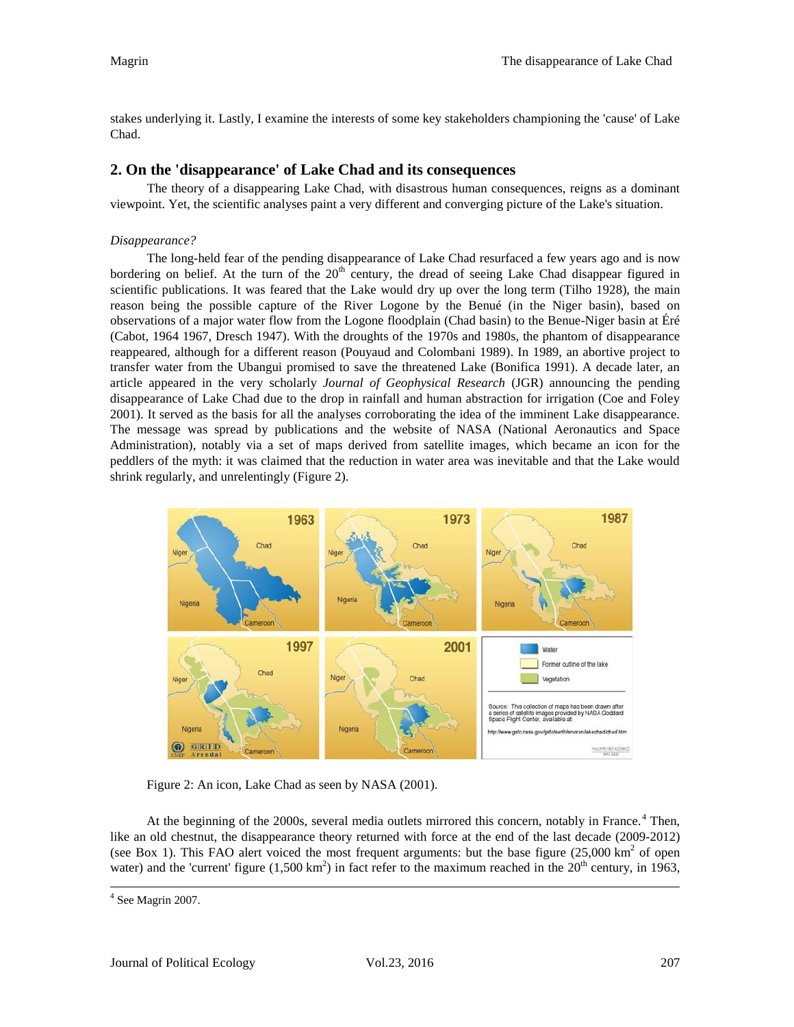stakes underlying it. Lastly, I examine the interests of some key stakeholders championing the 'cause' of Lake Chad.

# **2. On the 'disappearance' of Lake Chad and its consequences**

The theory of a disappearing Lake Chad, with disastrous human consequences, reigns as a dominant viewpoint. Yet, the scientific analyses paint a very different and converging picture of the Lake's situation.

## *Disappearance?*

The long-held fear of the pending disappearance of Lake Chad resurfaced a few years ago and is now bordering on belief. At the turn of the  $20<sup>th</sup>$  century, the dread of seeing Lake Chad disappear figured in scientific publications. It was feared that the Lake would dry up over the long term (Tilho 1928), the main reason being the possible capture of the River Logone by the Benué (in the Niger basin), based on observations of a major water flow from the Logone floodplain (Chad basin) to the Benue-Niger basin at Éré (Cabot, 1964 1967, Dresch 1947). With the droughts of the 1970s and 1980s, the phantom of disappearance reappeared, although for a different reason (Pouyaud and Colombani 1989). In 1989, an abortive project to transfer water from the Ubangui promised to save the threatened Lake (Bonifica 1991). A decade later, an article appeared in the very scholarly *Journal of Geophysical Research* (JGR) announcing the pending disappearance of Lake Chad due to the drop in rainfall and human abstraction for irrigation (Coe and Foley 2001). It served as the basis for all the analyses corroborating the idea of the imminent Lake disappearance. The message was spread by publications and the website of NASA (National Aeronautics and Space Administration), notably via a set of maps derived from satellite images, which became an icon for the peddlers of the myth: it was claimed that the reduction in water area was inevitable and that the Lake would shrink regularly, and unrelentingly (Figure 2).



Figure 2: An icon, Lake Chad as seen by NASA (2001).

At the beginning of the 2000s, several media outlets mirrored this concern, notably in France.<sup>[4](#page-3-0)</sup> Then, like an old chestnut, the disappearance theory returned with force at the end of the last decade (2009-2012) (see Box 1). This FAO alert voiced the most frequent arguments: but the base figure  $(25,000 \text{ km}^2 \text{ of open})$ water) and the 'current' figure  $(1,500 \text{ km}^2)$  in fact refer to the maximum reached in the  $20^{\text{th}}$  century, in 1963,

<span id="page-3-0"></span> $4$  See Magrin 2007.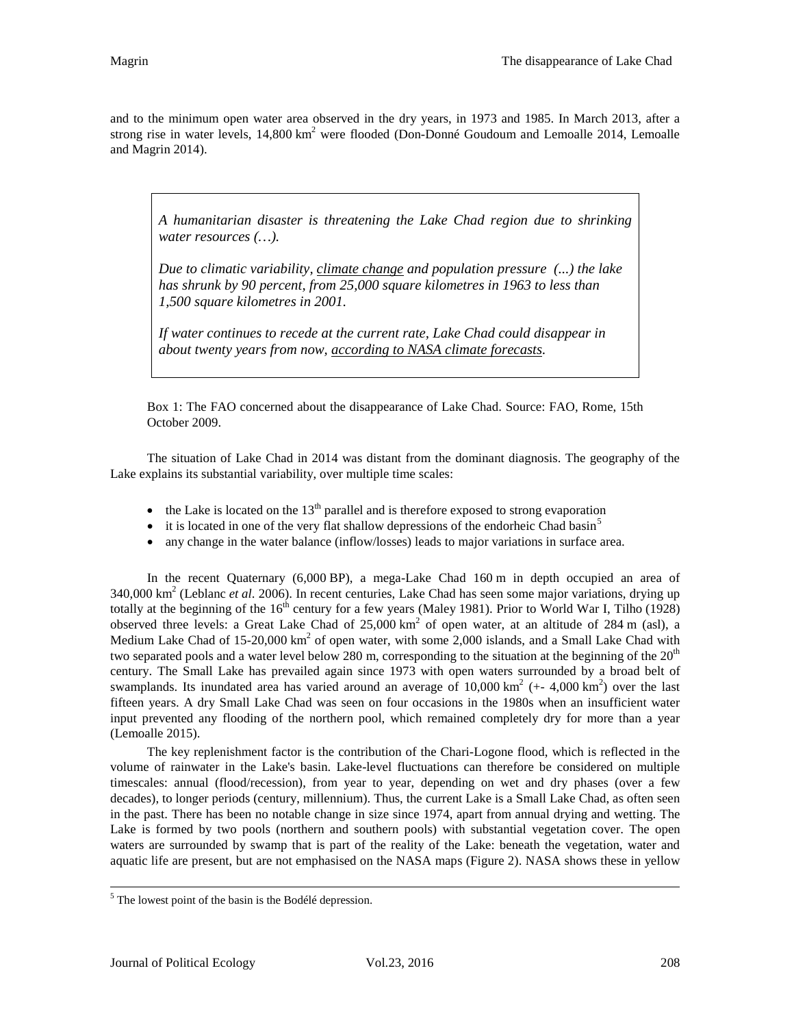and to the minimum open water area observed in the dry years, in 1973 and 1985. In March 2013, after a strong rise in water levels, 14,800 km<sup>2</sup> were flooded (Don-Donné Goudoum and Lemoalle 2014, Lemoalle and Magrin 2014).

*A humanitarian disaster is threatening the Lake Chad region due to shrinking water resources (…).*

*Due to climatic variability, climate change and population pressure (...) the lake has shrunk by 90 percent, from 25,000 square kilometres in 1963 to less than 1,500 square kilometres in 2001.* 

*If water continues to recede at the current rate, Lake Chad could disappear in about twenty years from now, according to NASA climate forecasts.*

Box 1: The FAO concerned about the disappearance of Lake Chad. Source: FAO, Rome, 15th October 2009.

The situation of Lake Chad in 2014 was distant from the dominant diagnosis. The geography of the Lake explains its substantial variability, over multiple time scales:

- the Lake is located on the  $13<sup>th</sup>$  parallel and is therefore exposed to strong evaporation
- $\bullet$  it is located in one of the very flat shallow depressions of the endorheic Chad basin<sup>[5](#page-4-0)</sup>
- any change in the water balance (inflow/losses) leads to major variations in surface area.

In the recent Quaternary (6,000 BP), a mega-Lake Chad 160 m in depth occupied an area of 340,000 km2 (Leblanc *et al*. 2006). In recent centuries, Lake Chad has seen some major variations, drying up totally at the beginning of the  $16<sup>th</sup>$  century for a few years (Maley 1981). Prior to World War I, Tilho (1928) observed three levels: a Great Lake Chad of  $25,000 \text{ km}^2$  of open water, at an altitude of  $284 \text{ m}$  (asl), a Medium Lake Chad of 15-20,000 km<sup>2</sup> of open water, with some 2,000 islands, and a Small Lake Chad with two separated pools and a water level below 280 m, corresponding to the situation at the beginning of the 20<sup>th</sup> century. The Small Lake has prevailed again since 1973 with open waters surrounded by a broad belt of swamplands. Its inundated area has varied around an average of  $10,000 \text{ km}^2$  (+-4,000 km<sup>2</sup>) over the last fifteen years. A dry Small Lake Chad was seen on four occasions in the 1980s when an insufficient water input prevented any flooding of the northern pool, which remained completely dry for more than a year (Lemoalle 2015).

The key replenishment factor is the contribution of the Chari-Logone flood, which is reflected in the volume of rainwater in the Lake's basin. Lake-level fluctuations can therefore be considered on multiple timescales: annual (flood/recession), from year to year, depending on wet and dry phases (over a few decades), to longer periods (century, millennium). Thus, the current Lake is a Small Lake Chad, as often seen in the past. There has been no notable change in size since 1974, apart from annual drying and wetting. The Lake is formed by two pools (northern and southern pools) with substantial vegetation cover. The open waters are surrounded by swamp that is part of the reality of the Lake: beneath the vegetation, water and aquatic life are present, but are not emphasised on the NASA maps (Figure 2). NASA shows these in yellow

<span id="page-4-0"></span> $<sup>5</sup>$  The lowest point of the basin is the Bodélé depression.</sup>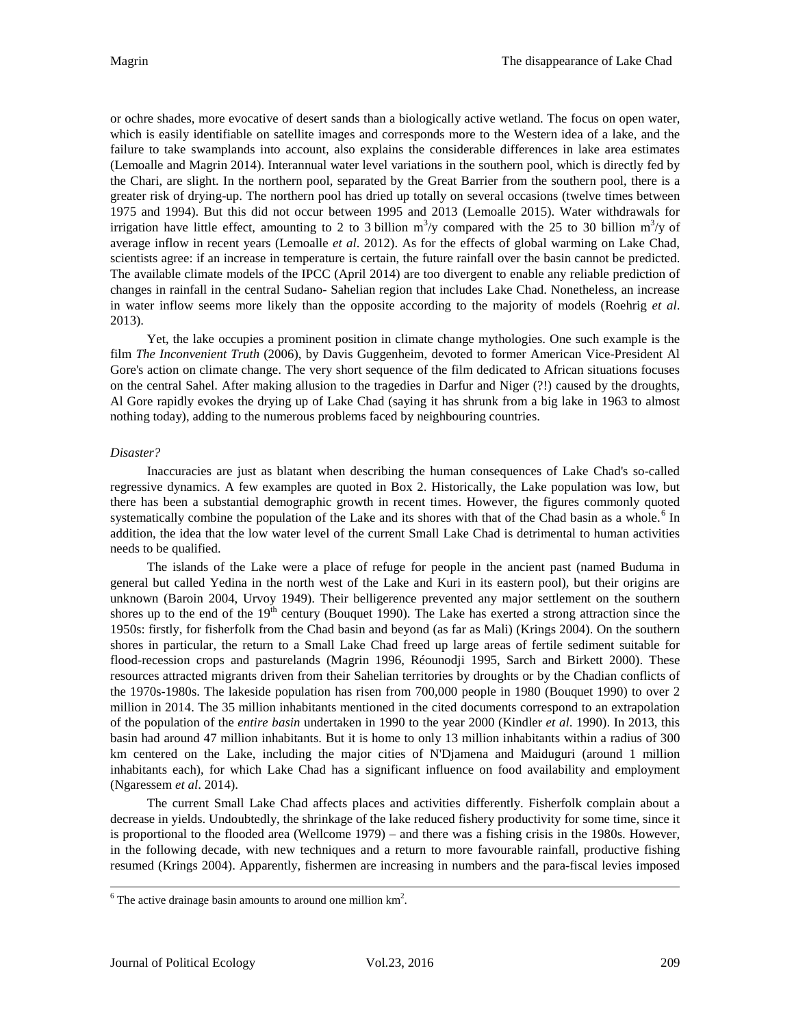or ochre shades, more evocative of desert sands than a biologically active wetland. The focus on open water, which is easily identifiable on satellite images and corresponds more to the Western idea of a lake, and the failure to take swamplands into account, also explains the considerable differences in lake area estimates (Lemoalle and Magrin 2014). Interannual water level variations in the southern pool, which is directly fed by the Chari, are slight. In the northern pool, separated by the Great Barrier from the southern pool, there is a greater risk of drying-up. The northern pool has dried up totally on several occasions (twelve times between 1975 and 1994). But this did not occur between 1995 and 2013 (Lemoalle 2015). Water withdrawals for irrigation have little effect, amounting to 2 to 3 billion  $m^3$ /y compared with the 25 to 30 billion  $m^3$ /y of average inflow in recent years (Lemoalle *et al*. 2012). As for the effects of global warming on Lake Chad, scientists agree: if an increase in temperature is certain, the future rainfall over the basin cannot be predicted. The available climate models of the IPCC (April 2014) are too divergent to enable any reliable prediction of changes in rainfall in the central Sudano- Sahelian region that includes Lake Chad. Nonetheless, an increase in water inflow seems more likely than the opposite according to the majority of models (Roehrig *et al*. 2013).

Yet, the lake occupies a prominent position in climate change mythologies. One such example is the film *The Inconvenient Truth* (2006), by Davis Guggenheim, devoted to former American Vice-President Al Gore's action on climate change. The very short sequence of the film dedicated to African situations focuses on the central Sahel. After making allusion to the tragedies in Darfur and Niger (?!) caused by the droughts, Al Gore rapidly evokes the drying up of Lake Chad (saying it has shrunk from a big lake in 1963 to almost nothing today), adding to the numerous problems faced by neighbouring countries.

### *Disaster?*

Inaccuracies are just as blatant when describing the human consequences of Lake Chad's so-called regressive dynamics. A few examples are quoted in Box 2. Historically, the Lake population was low, but there has been a substantial demographic growth in recent times. However, the figures commonly quoted systematically combine the population of the Lake and its shores with that of the Chad basin as a whole.<sup>[6](#page-5-0)</sup> In addition, the idea that the low water level of the current Small Lake Chad is detrimental to human activities needs to be qualified.

The islands of the Lake were a place of refuge for people in the ancient past (named Buduma in general but called Yedina in the north west of the Lake and Kuri in its eastern pool), but their origins are unknown (Baroin 2004, Urvoy 1949). Their belligerence prevented any major settlement on the southern shores up to the end of the  $19<sup>th</sup>$  century (Bouquet 1990). The Lake has exerted a strong attraction since the 1950s: firstly, for fisherfolk from the Chad basin and beyond (as far as Mali) (Krings 2004). On the southern shores in particular, the return to a Small Lake Chad freed up large areas of fertile sediment suitable for flood-recession crops and pasturelands (Magrin 1996, Réounodji 1995, Sarch and Birkett 2000). These resources attracted migrants driven from their Sahelian territories by droughts or by the Chadian conflicts of the 1970s-1980s. The lakeside population has risen from 700,000 people in 1980 (Bouquet 1990) to over 2 million in 2014. The 35 million inhabitants mentioned in the cited documents correspond to an extrapolation of the population of the *entire basin* undertaken in 1990 to the year 2000 (Kindler *et al*. 1990). In 2013, this basin had around 47 million inhabitants. But it is home to only 13 million inhabitants within a radius of 300 km centered on the Lake, including the major cities of N'Djamena and Maiduguri (around 1 million inhabitants each), for which Lake Chad has a significant influence on food availability and employment (Ngaressem *et al*. 2014).

The current Small Lake Chad affects places and activities differently. Fisherfolk complain about a decrease in yields. Undoubtedly, the shrinkage of the lake reduced fishery productivity for some time, since it is proportional to the flooded area (Wellcome 1979) – and there was a fishing crisis in the 1980s. However, in the following decade, with new techniques and a return to more favourable rainfall, productive fishing resumed (Krings 2004). Apparently, fishermen are increasing in numbers and the para-fiscal levies imposed

<span id="page-5-0"></span>The active drainage basin amounts to around one million  $km^2$ .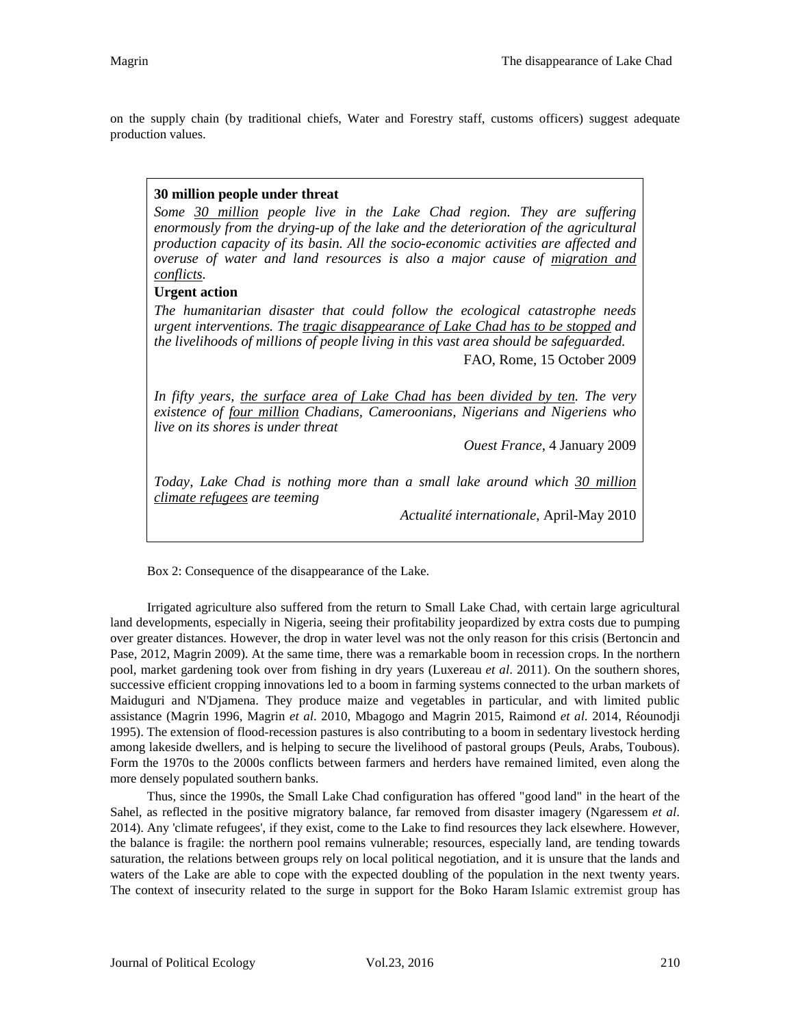on the supply chain (by traditional chiefs, Water and Forestry staff, customs officers) suggest adequate production values.

## **30 million people under threat**

*Some 30 million people live in the Lake Chad region. They are suffering enormously from the drying-up of the lake and the deterioration of the agricultural production capacity of its basin. All the socio-economic activities are affected and overuse of water and land resources is also a major cause of migration and conflicts.*

## **Urgent action**

*The humanitarian disaster that could follow the ecological catastrophe needs urgent interventions. The tragic disappearance of Lake Chad has to be stopped and the livelihoods of millions of people living in this vast area should be safeguarded.*

FAO, Rome, 15 October 2009

*In fifty years, the surface area of Lake Chad has been divided by ten. The very existence of four million Chadians, Cameroonians, Nigerians and Nigeriens who live on its shores is under threat*

*Ouest France*, 4 January 2009

*Today, Lake Chad is nothing more than a small lake around which 30 million climate refugees are teeming*

*Actualité internationale*, April-May 2010

Box 2: Consequence of the disappearance of the Lake.

Irrigated agriculture also suffered from the return to Small Lake Chad, with certain large agricultural land developments, especially in Nigeria, seeing their profitability jeopardized by extra costs due to pumping over greater distances. However, the drop in water level was not the only reason for this crisis (Bertoncin and Pase, 2012, Magrin 2009). At the same time, there was a remarkable boom in recession crops. In the northern pool, market gardening took over from fishing in dry years (Luxereau *et al*. 2011). On the southern shores, successive efficient cropping innovations led to a boom in farming systems connected to the urban markets of Maiduguri and N'Djamena. They produce maize and vegetables in particular, and with limited public assistance (Magrin 1996, Magrin *et al*. 2010, Mbagogo and Magrin 2015, Raimond *et al*. 2014, Réounodji 1995). The extension of flood-recession pastures is also contributing to a boom in sedentary livestock herding among lakeside dwellers, and is helping to secure the livelihood of pastoral groups (Peuls, Arabs, Toubous). Form the 1970s to the 2000s conflicts between farmers and herders have remained limited, even along the more densely populated southern banks.

Thus, since the 1990s, the Small Lake Chad configuration has offered "good land" in the heart of the Sahel, as reflected in the positive migratory balance, far removed from disaster imagery (Ngaressem *et al*. 2014). Any 'climate refugees', if they exist, come to the Lake to find resources they lack elsewhere. However, the balance is fragile: the northern pool remains vulnerable; resources, especially land, are tending towards saturation, the relations between groups rely on local political negotiation, and it is unsure that the lands and waters of the Lake are able to cope with the expected doubling of the population in the next twenty years. The context of insecurity related to the surge in support for the Boko Haram Islamic extremist group has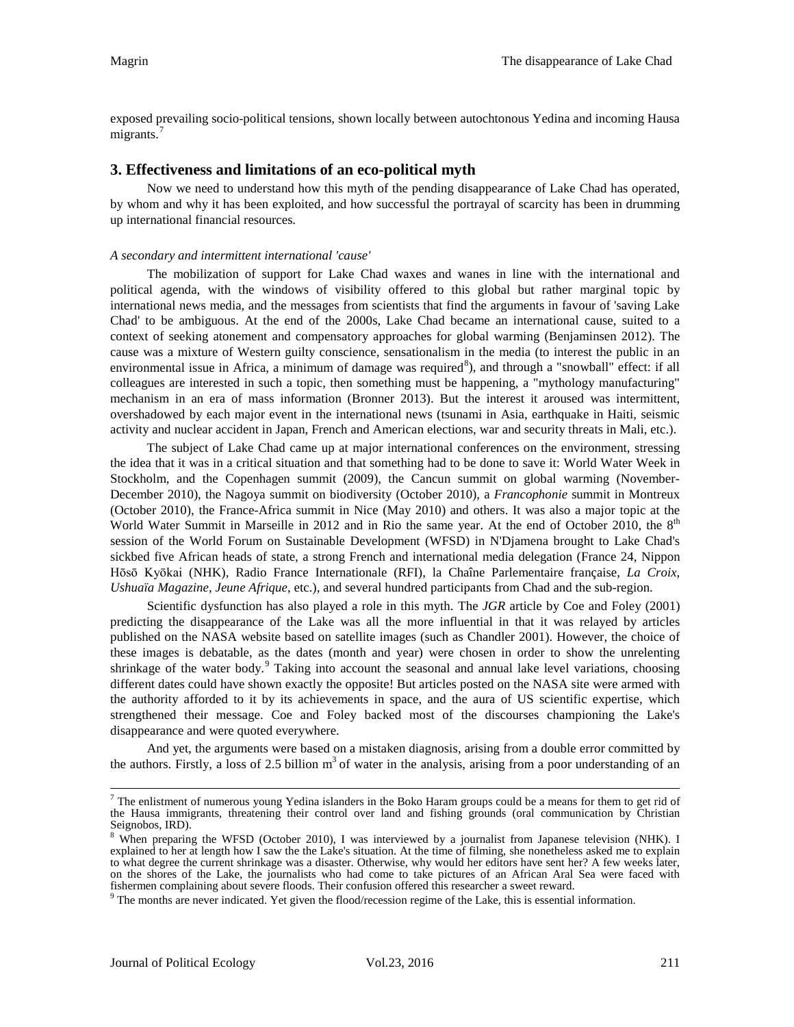exposed prevailing socio-political tensions, shown locally between autochtonous Yedina and incoming Hausa migrants.<sup>[7](#page-7-0)</sup>

## **3. Effectiveness and limitations of an eco-political myth**

Now we need to understand how this myth of the pending disappearance of Lake Chad has operated, by whom and why it has been exploited, and how successful the portrayal of scarcity has been in drumming up international financial resources.

#### *A secondary and intermittent international 'cause'*

The mobilization of support for Lake Chad waxes and wanes in line with the international and political agenda, with the windows of visibility offered to this global but rather marginal topic by international news media, and the messages from scientists that find the arguments in favour of 'saving Lake Chad' to be ambiguous. At the end of the 2000s, Lake Chad became an international cause, suited to a context of seeking atonement and compensatory approaches for global warming (Benjaminsen 2012). The cause was a mixture of Western guilty conscience, sensationalism in the media (to interest the public in an environmental issue in Africa, a minimum of damage was required $\delta$ ), and through a "snowball" effect: if all colleagues are interested in such a topic, then something must be happening, a "mythology manufacturing" mechanism in an era of mass information (Bronner 2013). But the interest it aroused was intermittent, overshadowed by each major event in the international news (tsunami in Asia, earthquake in Haiti, seismic activity and nuclear accident in Japan, French and American elections, war and security threats in Mali, etc.).

The subject of Lake Chad came up at major international conferences on the environment, stressing the idea that it was in a critical situation and that something had to be done to save it: World Water Week in Stockholm, and the Copenhagen summit (2009), the Cancun summit on global warming (November-December 2010), the Nagoya summit on biodiversity (October 2010), a *Francophonie* summit in Montreux (October 2010), the France-Africa summit in Nice (May 2010) and others. It was also a major topic at the World Water Summit in Marseille in 2012 and in Rio the same year. At the end of October 2010, the 8<sup>th</sup> session of the World Forum on Sustainable Development (WFSD) in N'Djamena brought to Lake Chad's sickbed five African heads of state, a strong French and international media delegation (France 24, Nippon Hōsō Kyōkai (NHK), Radio France Internationale (RFI), la Chaîne Parlementaire française, *La Croix*, *Ushuaïa Magazine*, *Jeune Afrique*, etc.), and several hundred participants from Chad and the sub-region.

Scientific dysfunction has also played a role in this myth. The *JGR* article by Coe and Foley (2001) predicting the disappearance of the Lake was all the more influential in that it was relayed by articles published on the NASA website based on satellite images (such as Chandler 2001). However, the choice of these images is debatable, as the dates (month and year) were chosen in order to show the unrelenting shrinkage of the water body.<sup>[9](#page-7-2)</sup> Taking into account the seasonal and annual lake level variations, choosing different dates could have shown exactly the opposite! But articles posted on the NASA site were armed with the authority afforded to it by its achievements in space, and the aura of US scientific expertise, which strengthened their message. Coe and Foley backed most of the discourses championing the Lake's disappearance and were quoted everywhere.

And yet, the arguments were based on a mistaken diagnosis, arising from a double error committed by the authors. Firstly, a loss of 2.5 billion  $m<sup>3</sup>$  of water in the analysis, arising from a poor understanding of an

<span id="page-7-0"></span> $<sup>7</sup>$  The enlistment of numerous young Yedina islanders in the Boko Haram groups could be a means for them to get rid of</sup> the Hausa immigrants, threatening their control over land and fishing grounds (oral communication by Christian Seignobos, IRD).

<span id="page-7-1"></span><sup>&</sup>lt;sup>8</sup> When preparing the WFSD (October 2010), I was interviewed by a journalist from Japanese television (NHK). I explained to her at length how I saw the the Lake's situation. At the time of filming, she nonetheless asked me to explain<br>to what degree the current shrinkage was a disaster. Otherwise, why would her editors have sent her on the shores of the Lake, the journalists who had come to take pictures of an African Aral Sea were faced with<br>fishermen complaining about severe floods. Their confusion offered this researcher a sweet reward.

<span id="page-7-2"></span> $\degree$  The months are never indicated. Yet given the flood/recession regime of the Lake, this is essential information.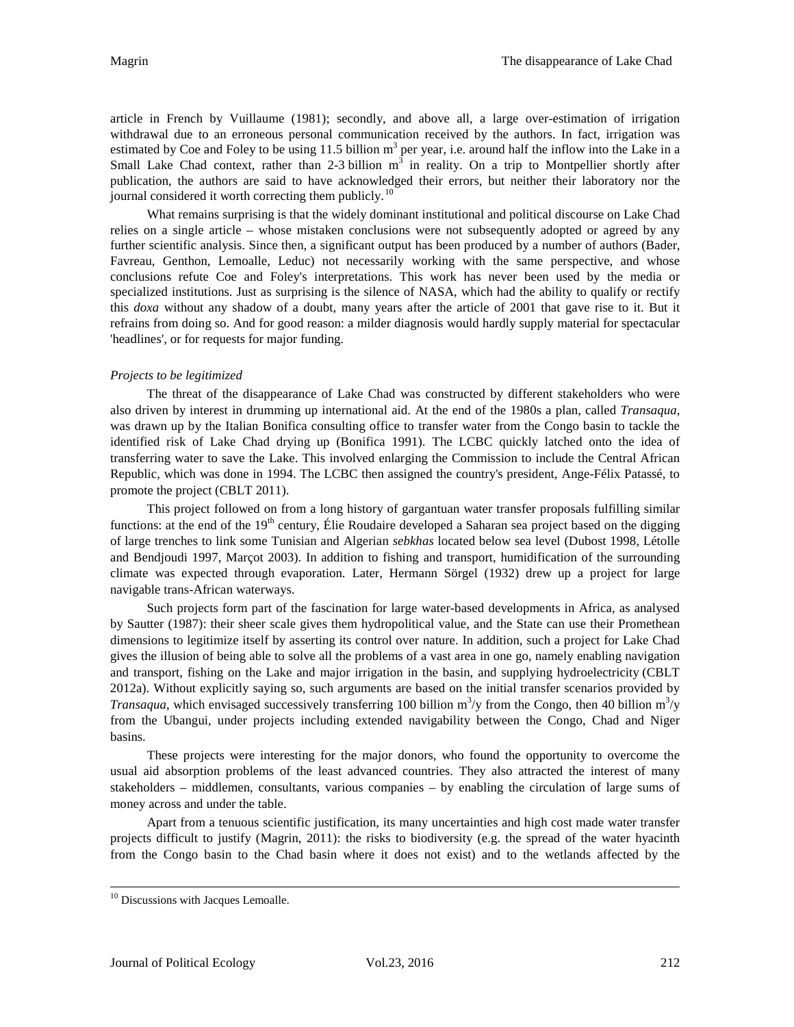article in French by Vuillaume (1981); secondly, and above all, a large over-estimation of irrigation withdrawal due to an erroneous personal communication received by the authors. In fact, irrigation was estimated by Coe and Foley to be using 11.5 billion  $m<sup>3</sup>$  per year, i.e. around half the inflow into the Lake in a Small Lake Chad context, rather than 2-3 billion  $m<sup>3</sup>$  in reality. On a trip to Montpellier shortly after publication, the authors are said to have acknowledged their errors, but neither their laboratory nor the journal considered it worth correcting them publicly.<sup>[10](#page-8-0)</sup>

What remains surprising is that the widely dominant institutional and political discourse on Lake Chad relies on a single article – whose mistaken conclusions were not subsequently adopted or agreed by any further scientific analysis. Since then, a significant output has been produced by a number of authors (Bader, Favreau, Genthon, Lemoalle, Leduc) not necessarily working with the same perspective, and whose conclusions refute Coe and Foley's interpretations. This work has never been used by the media or specialized institutions. Just as surprising is the silence of NASA, which had the ability to qualify or rectify this *doxa* without any shadow of a doubt, many years after the article of 2001 that gave rise to it. But it refrains from doing so. And for good reason: a milder diagnosis would hardly supply material for spectacular 'headlines', or for requests for major funding.

### *Projects to be legitimized*

The threat of the disappearance of Lake Chad was constructed by different stakeholders who were also driven by interest in drumming up international aid. At the end of the 1980s a plan, called *Transaqua*, was drawn up by the Italian Bonifica consulting office to transfer water from the Congo basin to tackle the identified risk of Lake Chad drying up (Bonifica 1991). The LCBC quickly latched onto the idea of transferring water to save the Lake. This involved enlarging the Commission to include the Central African Republic, which was done in 1994. The LCBC then assigned the country's president, Ange-Félix Patassé, to promote the project (CBLT 2011).

This project followed on from a long history of gargantuan water transfer proposals fulfilling similar functions: at the end of the  $19<sup>th</sup>$  century, Élie Roudaire developed a Saharan sea project based on the digging of large trenches to link some Tunisian and Algerian *sebkhas* located below sea level (Dubost 1998, Létolle and Bendjoudi 1997, Marçot 2003). In addition to fishing and transport, humidification of the surrounding climate was expected through evaporation. Later, Hermann Sörgel (1932) drew up a project for large navigable trans-African waterways.

Such projects form part of the fascination for large water-based developments in Africa, as analysed by Sautter (1987): their sheer scale gives them hydropolitical value, and the State can use their Promethean dimensions to legitimize itself by asserting its control over nature. In addition, such a project for Lake Chad gives the illusion of being able to solve all the problems of a vast area in one go, namely enabling navigation and transport, fishing on the Lake and major irrigation in the basin, and supplying hydroelectricity (CBLT 2012a). Without explicitly saying so, such arguments are based on the initial transfer scenarios provided by *Transaqua*, which envisaged successively transferring 100 billion  $m^3$ /y from the Congo, then 40 billion  $m^3$ /y from the Ubangui, under projects including extended navigability between the Congo, Chad and Niger basins.

These projects were interesting for the major donors, who found the opportunity to overcome the usual aid absorption problems of the least advanced countries. They also attracted the interest of many stakeholders – middlemen, consultants, various companies – by enabling the circulation of large sums of money across and under the table.

Apart from a tenuous scientific justification, its many uncertainties and high cost made water transfer projects difficult to justify (Magrin, 2011): the risks to biodiversity (e.g. the spread of the water hyacinth from the Congo basin to the Chad basin where it does not exist) and to the wetlands affected by the

<span id="page-8-0"></span><sup>&</sup>lt;sup>10</sup> Discussions with Jacques Lemoalle.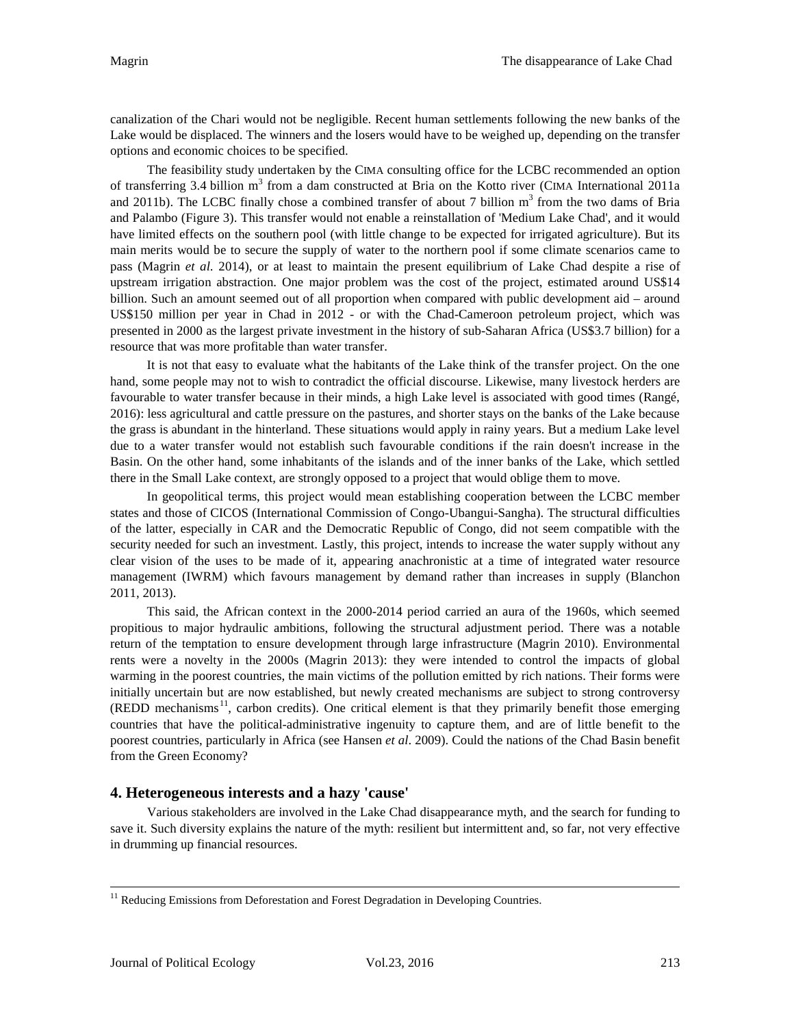canalization of the Chari would not be negligible. Recent human settlements following the new banks of the Lake would be displaced. The winners and the losers would have to be weighed up, depending on the transfer options and economic choices to be specified.

The feasibility study undertaken by the CIMA consulting office for the LCBC recommended an option of transferring 3.4 billion m<sup>3</sup> from a dam constructed at Bria on the Kotto river (CIMA International 2011a and 2011b). The LCBC finally chose a combined transfer of about 7 billion  $m<sup>3</sup>$  from the two dams of Bria and Palambo (Figure 3). This transfer would not enable a reinstallation of 'Medium Lake Chad', and it would have limited effects on the southern pool (with little change to be expected for irrigated agriculture). But its main merits would be to secure the supply of water to the northern pool if some climate scenarios came to pass (Magrin *et al*. 2014), or at least to maintain the present equilibrium of Lake Chad despite a rise of upstream irrigation abstraction. One major problem was the cost of the project, estimated around US\$14 billion. Such an amount seemed out of all proportion when compared with public development aid – around US\$150 million per year in Chad in 2012 - or with the Chad-Cameroon petroleum project, which was presented in 2000 as the largest private investment in the history of sub-Saharan Africa (US\$3.7 billion) for a resource that was more profitable than water transfer.

It is not that easy to evaluate what the habitants of the Lake think of the transfer project. On the one hand, some people may not to wish to contradict the official discourse. Likewise, many livestock herders are favourable to water transfer because in their minds, a high Lake level is associated with good times (Rangé, 2016): less agricultural and cattle pressure on the pastures, and shorter stays on the banks of the Lake because the grass is abundant in the hinterland. These situations would apply in rainy years. But a medium Lake level due to a water transfer would not establish such favourable conditions if the rain doesn't increase in the Basin. On the other hand, some inhabitants of the islands and of the inner banks of the Lake, which settled there in the Small Lake context, are strongly opposed to a project that would oblige them to move.

In geopolitical terms, this project would mean establishing cooperation between the LCBC member states and those of CICOS (International Commission of Congo-Ubangui-Sangha). The structural difficulties of the latter, especially in CAR and the Democratic Republic of Congo, did not seem compatible with the security needed for such an investment. Lastly, this project, intends to increase the water supply without any clear vision of the uses to be made of it, appearing anachronistic at a time of integrated water resource management (IWRM) which favours management by demand rather than increases in supply (Blanchon 2011, 2013).

This said, the African context in the 2000-2014 period carried an aura of the 1960s, which seemed propitious to major hydraulic ambitions, following the structural adjustment period. There was a notable return of the temptation to ensure development through large infrastructure (Magrin 2010). Environmental rents were a novelty in the 2000s (Magrin 2013): they were intended to control the impacts of global warming in the poorest countries, the main victims of the pollution emitted by rich nations. Their forms were initially uncertain but are now established, but newly created mechanisms are subject to strong controversy  $(REDD$  mechanisms<sup>[11](#page-9-0)</sup>, carbon credits). One critical element is that they primarily benefit those emerging countries that have the political-administrative ingenuity to capture them, and are of little benefit to the poorest countries, particularly in Africa (see Hansen *et al*. 2009). Could the nations of the Chad Basin benefit from the Green Economy?

## **4. Heterogeneous interests and a hazy 'cause'**

Various stakeholders are involved in the Lake Chad disappearance myth, and the search for funding to save it. Such diversity explains the nature of the myth: resilient but intermittent and, so far, not very effective in drumming up financial resources.

<span id="page-9-0"></span> $11$  Reducing Emissions from Deforestation and Forest Degradation in Developing Countries.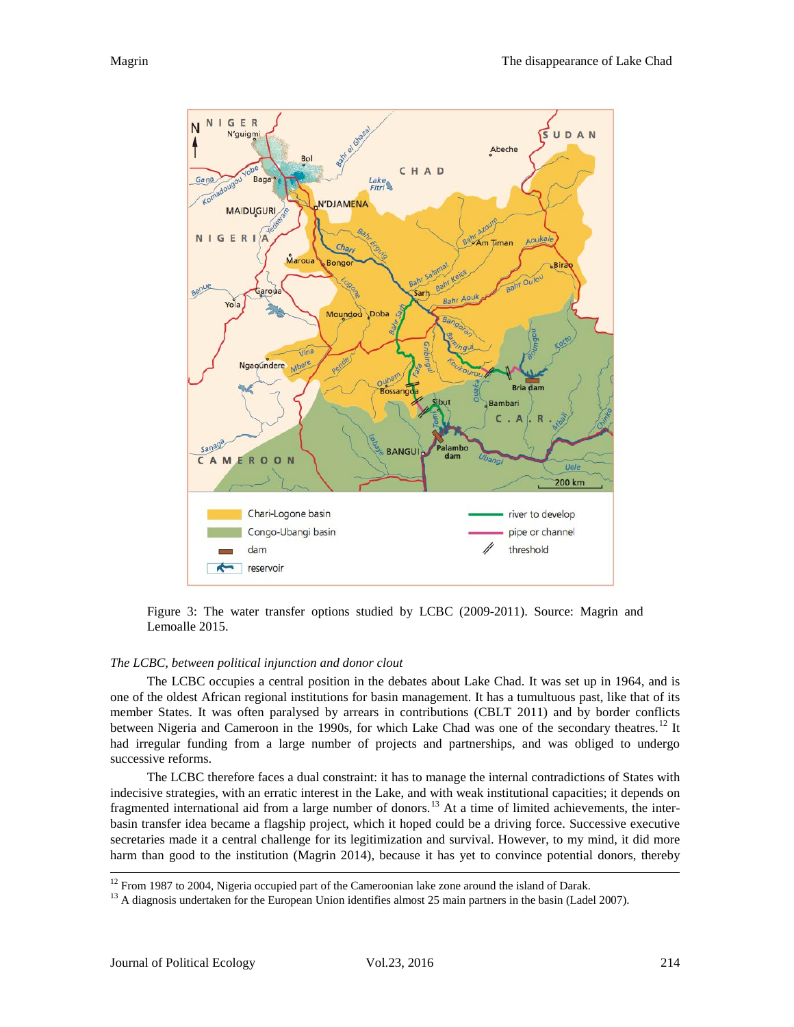

Figure 3: The water transfer options studied by LCBC (2009-2011). Source: Magrin and Lemoalle 2015.

## *The LCBC, between political injunction and donor clout*

The LCBC occupies a central position in the debates about Lake Chad. It was set up in 1964, and is one of the oldest African regional institutions for basin management. It has a tumultuous past, like that of its member States. It was often paralysed by arrears in contributions (CBLT 2011) and by border conflicts between Nigeria and Cameroon in the 1990s, for which Lake Chad was one of the secondary theatres.<sup>[12](#page-10-0)</sup> It had irregular funding from a large number of projects and partnerships, and was obliged to undergo successive reforms.

The LCBC therefore faces a dual constraint: it has to manage the internal contradictions of States with indecisive strategies, with an erratic interest in the Lake, and with weak institutional capacities; it depends on fragmented international aid from a large number of donors.<sup>[13](#page-10-1)</sup> At a time of limited achievements, the interbasin transfer idea became a flagship project, which it hoped could be a driving force. Successive executive secretaries made it a central challenge for its legitimization and survival. However, to my mind, it did more harm than good to the institution (Magrin 2014), because it has yet to convince potential donors, thereby

<span id="page-10-1"></span>

<span id="page-10-0"></span><sup>&</sup>lt;sup>12</sup> From 1987 to 2004, Nigeria occupied part of the Cameroonian lake zone around the island of Darak.<br><sup>13</sup> A diagnosis undertaken for the European Union identifies almost 25 main partners in the basin (Ladel 2007).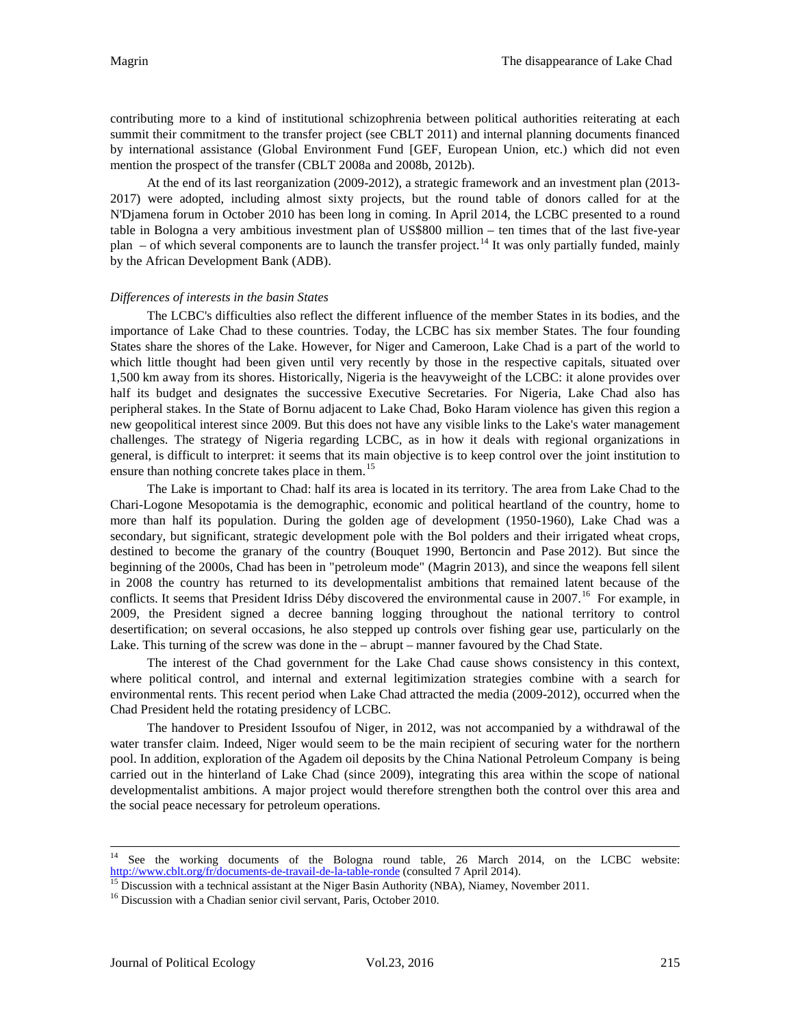contributing more to a kind of institutional schizophrenia between political authorities reiterating at each summit their commitment to the transfer project (see CBLT 2011) and internal planning documents financed by international assistance (Global Environment Fund [GEF, European Union, etc.) which did not even mention the prospect of the transfer (CBLT 2008a and 2008b, 2012b).

At the end of its last reorganization (2009-2012), a strategic framework and an investment plan (2013- 2017) were adopted, including almost sixty projects, but the round table of donors called for at the N'Djamena forum in October 2010 has been long in coming. In April 2014, the LCBC presented to a round table in Bologna a very ambitious investment plan of US\$800 million – ten times that of the last five-year plan  $-$  of which several components are to launch the transfer project.<sup>[14](#page-11-0)</sup> It was only partially funded, mainly by the African Development Bank (ADB).

#### *Differences of interests in the basin States*

The LCBC's difficulties also reflect the different influence of the member States in its bodies, and the importance of Lake Chad to these countries. Today, the LCBC has six member States. The four founding States share the shores of the Lake. However, for Niger and Cameroon, Lake Chad is a part of the world to which little thought had been given until very recently by those in the respective capitals, situated over 1,500 km away from its shores. Historically, Nigeria is the heavyweight of the LCBC: it alone provides over half its budget and designates the successive Executive Secretaries. For Nigeria, Lake Chad also has peripheral stakes. In the State of Bornu adjacent to Lake Chad, Boko Haram violence has given this region a new geopolitical interest since 2009. But this does not have any visible links to the Lake's water management challenges. The strategy of Nigeria regarding LCBC, as in how it deals with regional organizations in general, is difficult to interpret: it seems that its main objective is to keep control over the joint institution to ensure than nothing concrete takes place in them.<sup>[15](#page-11-1)</sup>

The Lake is important to Chad: half its area is located in its territory. The area from Lake Chad to the Chari-Logone Mesopotamia is the demographic, economic and political heartland of the country, home to more than half its population. During the golden age of development (1950-1960), Lake Chad was a secondary, but significant, strategic development pole with the Bol polders and their irrigated wheat crops, destined to become the granary of the country (Bouquet 1990, Bertoncin and Pase 2012). But since the beginning of the 2000s, Chad has been in "petroleum mode" (Magrin 2013), and since the weapons fell silent in 2008 the country has returned to its developmentalist ambitions that remained latent because of the conflicts. It seems that President Idriss Déby discovered the environmental cause in 2007.<sup>[16](#page-11-2)</sup> For example, in 2009, the President signed a decree banning logging throughout the national territory to control desertification; on several occasions, he also stepped up controls over fishing gear use, particularly on the Lake. This turning of the screw was done in the – abrupt – manner favoured by the Chad State.

The interest of the Chad government for the Lake Chad cause shows consistency in this context, where political control, and internal and external legitimization strategies combine with a search for environmental rents. This recent period when Lake Chad attracted the media (2009-2012), occurred when the Chad President held the rotating presidency of LCBC.

The handover to President Issoufou of Niger, in 2012, was not accompanied by a withdrawal of the water transfer claim. Indeed, Niger would seem to be the main recipient of securing water for the northern pool. In addition, exploration of the Agadem oil deposits by the China National Petroleum Company is being carried out in the hinterland of Lake Chad (since 2009), integrating this area within the scope of national developmentalist ambitions. A major project would therefore strengthen both the control over this area and the social peace necessary for petroleum operations.

<span id="page-11-0"></span><sup>&</sup>lt;sup>14</sup> See the working documents of the Bologna round table, 26 March 2014, on the LCBC website:<br>http://www.cblt.org/fr/documents-de-travail-de-la-table-ronde (consulted 7 April 2014).

<span id="page-11-1"></span><sup>&</sup>lt;sup>15</sup> Discussion with a technical assistant at the Niger Basin Authority [\(](http://www.cblt.org/fr/documents-de-travail-de-la-table-ronde)NBA), Niamey, November 2011.<br><sup>16</sup> Discussion with a Chadian senior civil servant, Paris, October 2010.

<span id="page-11-2"></span>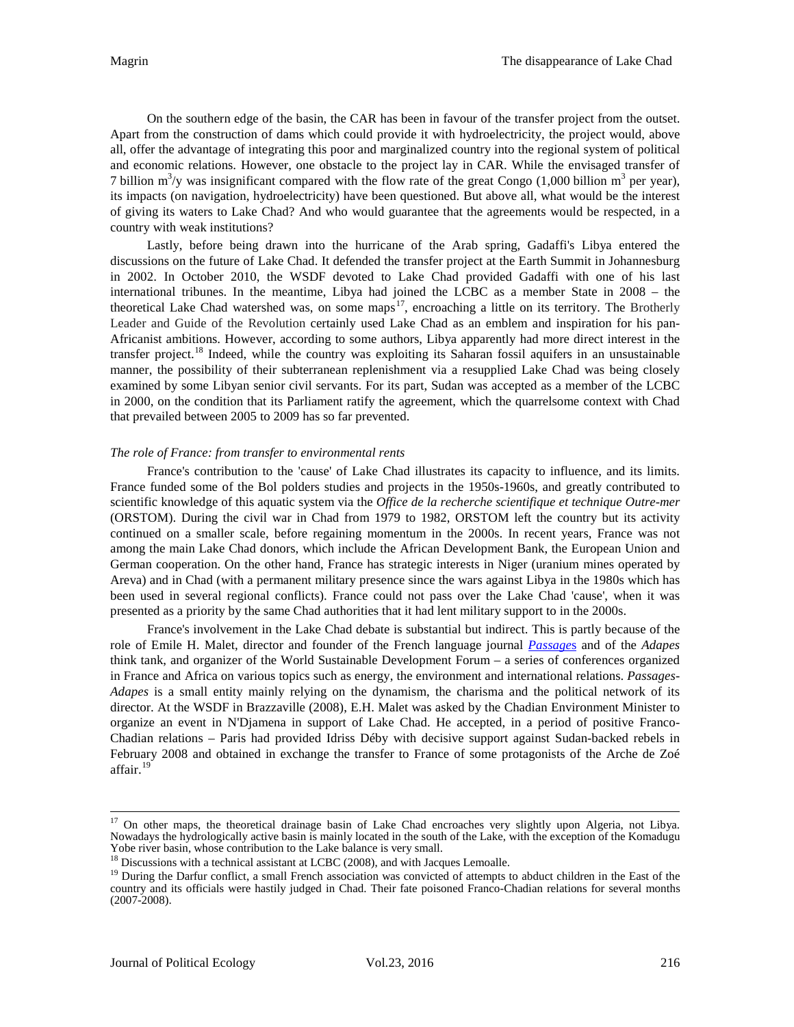On the southern edge of the basin, the CAR has been in favour of the transfer project from the outset. Apart from the construction of dams which could provide it with hydroelectricity, the project would, above all, offer the advantage of integrating this poor and marginalized country into the regional system of political and economic relations. However, one obstacle to the project lay in CAR. While the envisaged transfer of 7 billion  $m^3$ /y was insignificant compared with the flow rate of the great Congo (1,000 billion  $m^3$  per year), its impacts (on navigation, hydroelectricity) have been questioned. But above all, what would be the interest of giving its waters to Lake Chad? And who would guarantee that the agreements would be respected, in a country with weak institutions?

Lastly, before being drawn into the hurricane of the Arab spring, Gadaffi's Libya entered the discussions on the future of Lake Chad. It defended the transfer project at the Earth Summit in Johannesburg in 2002. In October 2010, the WSDF devoted to Lake Chad provided Gadaffi with one of his last international tribunes. In the meantime, Libya had joined the LCBC as a member State in 2008 – the theoretical Lake Chad watershed was, on some maps<sup>[17](#page-12-0)</sup>, encroaching a little on its territory. The Brotherly Leader and Guide of the Revolution certainly used Lake Chad as an emblem and inspiration for his pan-Africanist ambitions. However, according to some authors, Libya apparently had more direct interest in the transfer project.<sup>[18](#page-12-1)</sup> Indeed, while the country was exploiting its Saharan fossil aquifers in an unsustainable manner, the possibility of their subterranean replenishment via a resupplied Lake Chad was being closely examined by some Libyan senior civil servants. For its part, Sudan was accepted as a member of the LCBC in 2000, on the condition that its Parliament ratify the agreement, which the quarrelsome context with Chad that prevailed between 2005 to 2009 has so far prevented.

#### *The role of France: from transfer to environmental rents*

France's contribution to the 'cause' of Lake Chad illustrates its capacity to influence, and its limits. France funded some of the Bol polders studies and projects in the 1950s-1960s, and greatly contributed to scientific knowledge of this aquatic system via the *Office de la recherche scientifique et technique Outre-mer* (ORSTOM). During the civil war in Chad from 1979 to 1982, ORSTOM left the country but its activity continued on a smaller scale, before regaining momentum in the 2000s. In recent years, France was not among the main Lake Chad donors, which include the African Development Bank, the European Union and German cooperation. On the other hand, France has strategic interests in Niger (uranium mines operated by Areva) and in Chad (with a permanent military presence since the wars against Libya in the 1980s which has been used in several regional conflicts). France could not pass over the Lake Chad 'cause', when it was presented as a priority by the same Chad authorities that it had lent military support to in the 2000s.

France's involvement in the Lake Chad debate is substantial but indirect. This is partly because of the role of Emile H. Malet, director and founder of the French language journal *[Passage](http://www.passages-adapes.fr/la-revue-passages/)*s and of the *Adapes* think tank, and organizer of the World Sustainable Development Forum – a series of conferences organized in France and Africa on various topics such as energy, the environment and international relations. *Passages*-*Adapes* is a small entity mainly relying on the dynamism, the charisma and the political network of its director. At the WSDF in Brazzaville (2008), E.H. Malet was asked by the Chadian Environment Minister to organize an event in N'Djamena in support of Lake Chad. He accepted, in a period of positive Franco-Chadian relations – Paris had provided Idriss Déby with decisive support against Sudan-backed rebels in February 2008 and obtained in exchange the transfer to France of some protagonists of the Arche de Zoé affair. [19](#page-12-2)

<span id="page-12-0"></span><sup>&</sup>lt;sup>17</sup> On other maps, the theoretical drainage basin of Lake Chad encroaches very slightly upon Algeria, not Libya. Nowadays the hydrologically active basin is mainly located in the south of the Lake, with the exception of the Komadugu

<span id="page-12-2"></span><span id="page-12-1"></span>

 $^{18}$  Discussions with a technical assistant at LCBC (2008), and with Jacques Lemoalle.<br><sup>19</sup> During the Darfur conflict, a small French association was convicted of attempts to abduct children in the East of the country and its officials were hastily judged in Chad. Their fate poisoned Franco-Chadian relations for several months (2007-2008).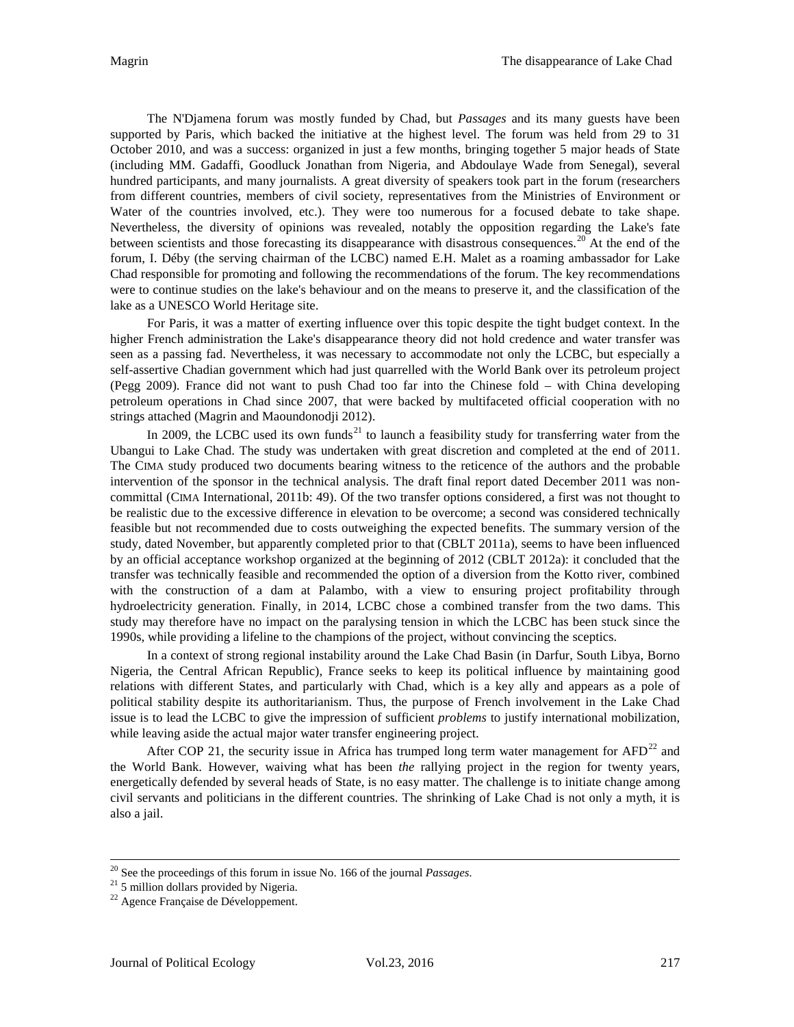The N'Djamena forum was mostly funded by Chad, but *Passages* and its many guests have been supported by Paris, which backed the initiative at the highest level. The forum was held from 29 to 31 October 2010, and was a success: organized in just a few months, bringing together 5 major heads of State (including MM. Gadaffi, Goodluck Jonathan from Nigeria, and Abdoulaye Wade from Senegal), several hundred participants, and many journalists. A great diversity of speakers took part in the forum (researchers from different countries, members of civil society, representatives from the Ministries of Environment or Water of the countries involved, etc.). They were too numerous for a focused debate to take shape. Nevertheless, the diversity of opinions was revealed, notably the opposition regarding the Lake's fate between scientists and those forecasting its disappearance with disastrous consequences.<sup>[20](#page-13-0)</sup> At the end of the forum, I. Déby (the serving chairman of the LCBC) named E.H. Malet as a roaming ambassador for Lake Chad responsible for promoting and following the recommendations of the forum. The key recommendations were to continue studies on the lake's behaviour and on the means to preserve it, and the classification of the lake as a UNESCO World Heritage site.

For Paris, it was a matter of exerting influence over this topic despite the tight budget context. In the higher French administration the Lake's disappearance theory did not hold credence and water transfer was seen as a passing fad. Nevertheless, it was necessary to accommodate not only the LCBC, but especially a self-assertive Chadian government which had just quarrelled with the World Bank over its petroleum project (Pegg 2009). France did not want to push Chad too far into the Chinese fold – with China developing petroleum operations in Chad since 2007, that were backed by multifaceted official cooperation with no strings attached (Magrin and Maoundonodji 2012).

In 2009, the LCBC used its own funds<sup>[21](#page-13-1)</sup> to launch a feasibility study for transferring water from the Ubangui to Lake Chad. The study was undertaken with great discretion and completed at the end of 2011. The CIMA study produced two documents bearing witness to the reticence of the authors and the probable intervention of the sponsor in the technical analysis. The draft final report dated December 2011 was noncommittal (CIMA International, 2011b: 49). Of the two transfer options considered, a first was not thought to be realistic due to the excessive difference in elevation to be overcome; a second was considered technically feasible but not recommended due to costs outweighing the expected benefits. The summary version of the study, dated November, but apparently completed prior to that (CBLT 2011a), seems to have been influenced by an official acceptance workshop organized at the beginning of 2012 (CBLT 2012a): it concluded that the transfer was technically feasible and recommended the option of a diversion from the Kotto river, combined with the construction of a dam at Palambo, with a view to ensuring project profitability through hydroelectricity generation. Finally, in 2014, LCBC chose a combined transfer from the two dams. This study may therefore have no impact on the paralysing tension in which the LCBC has been stuck since the 1990s, while providing a lifeline to the champions of the project, without convincing the sceptics.

In a context of strong regional instability around the Lake Chad Basin (in Darfur, South Libya, Borno Nigeria, the Central African Republic), France seeks to keep its political influence by maintaining good relations with different States, and particularly with Chad, which is a key ally and appears as a pole of political stability despite its authoritarianism. Thus, the purpose of French involvement in the Lake Chad issue is to lead the LCBC to give the impression of sufficient *problems* to justify international mobilization, while leaving aside the actual major water transfer engineering project.

After COP 21, the security issue in Africa has trumped long term water management for  $AFD^{22}$  $AFD^{22}$  $AFD^{22}$  and the World Bank. However, waiving what has been *the* rallying project in the region for twenty years, energetically defended by several heads of State, is no easy matter. The challenge is to initiate change among civil servants and politicians in the different countries. The shrinking of Lake Chad is not only a myth, it is also a jail.

<span id="page-13-0"></span><sup>&</sup>lt;sup>20</sup> See the proceedings of this forum in issue No. 166 of the journal *Passages*.<br><sup>21</sup> 5 million dollars provided by Nigeria.<br><sup>22</sup> Agence Française de Développement.

<span id="page-13-1"></span>

<span id="page-13-2"></span>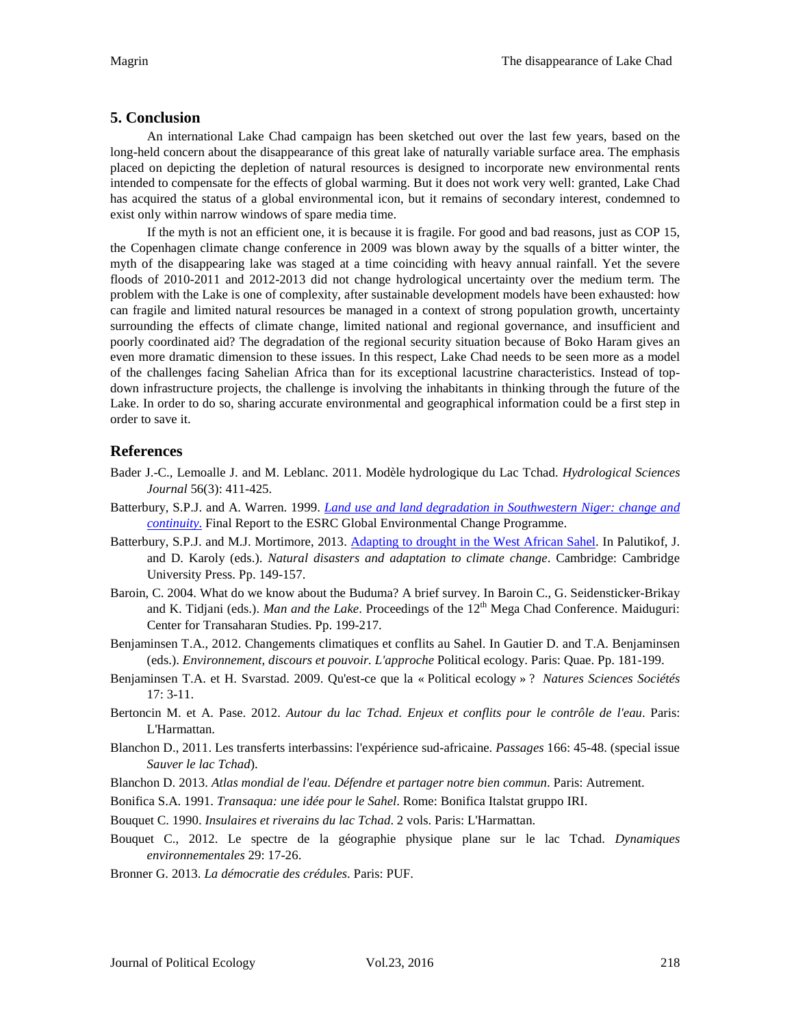## **5. Conclusion**

An international Lake Chad campaign has been sketched out over the last few years, based on the long-held concern about the disappearance of this great lake of naturally variable surface area. The emphasis placed on depicting the depletion of natural resources is designed to incorporate new environmental rents intended to compensate for the effects of global warming. But it does not work very well: granted, Lake Chad has acquired the status of a global environmental icon, but it remains of secondary interest, condemned to exist only within narrow windows of spare media time.

If the myth is not an efficient one, it is because it is fragile. For good and bad reasons, just as COP 15, the Copenhagen climate change conference in 2009 was blown away by the squalls of a bitter winter, the myth of the disappearing lake was staged at a time coinciding with heavy annual rainfall. Yet the severe floods of 2010-2011 and 2012-2013 did not change hydrological uncertainty over the medium term. The problem with the Lake is one of complexity, after sustainable development models have been exhausted: how can fragile and limited natural resources be managed in a context of strong population growth, uncertainty surrounding the effects of climate change, limited national and regional governance, and insufficient and poorly coordinated aid? The degradation of the regional security situation because of Boko Haram gives an even more dramatic dimension to these issues. In this respect, Lake Chad needs to be seen more as a model of the challenges facing Sahelian Africa than for its exceptional lacustrine characteristics. Instead of topdown infrastructure projects, the challenge is involving the inhabitants in thinking through the future of the Lake. In order to do so, sharing accurate environmental and geographical information could be a first step in order to save it.

## **References**

- Bader J.-C., Lemoalle J. and M. Leblanc. 2011. Modèle hydrologique du Lac Tchad. *Hydrological Sciences Journal* 56(3): 411-425.
- Batterbury, S.P.J. and A. Warren. 1999. *[Land use and land degradation in Southwestern Niger: change and](https://www.jircas.affrc.go.jp/project/africa_dojo/Metadata/grad_research/19.pdf)  [continuity](https://www.jircas.affrc.go.jp/project/africa_dojo/Metadata/grad_research/19.pdf)*. Final Report to the ESRC Global Environmental Change Programme.
- Batterbury, S.P.J. and M.J. Mortimore, 2013. [Adapting to drought in the West African Sahel.](http://www.simonbatterbury.net/pubs/batterburyandmortimore.pdf) In Palutikof, J. and D. Karoly (eds.). *Natural disasters and adaptation to climate change*. Cambridge: Cambridge University Press. Pp. 149-157.
- Baroin, C. 2004. What do we know about the Buduma? A brief survey. In Baroin C., G. Seidensticker-Brikay and K. Tidjani (eds.). *Man and the Lake*. Proceedings of the 12<sup>th</sup> Mega Chad Conference. Maiduguri: Center for Transaharan Studies. Pp. 199-217.
- Benjaminsen T.A., 2012. Changements climatiques et conflits au Sahel. In Gautier D. and T.A. Benjaminsen (eds.). *Environnement, discours et pouvoir. L'approche* Political ecology. Paris: Quae. Pp. 181-199.
- Benjaminsen T.A. et H. Svarstad. 2009. Qu'est-ce que la « Political ecology » ? *Natures Sciences Sociétés* 17: 3-11.
- Bertoncin M. et A. Pase. 2012. *Autour du lac Tchad. Enjeux et conflits pour le contrôle de l'eau*. Paris: L'Harmattan.
- Blanchon D., 2011. Les transferts interbassins: l'expérience sud-africaine. *Passages* 166: 45-48. (special issue *Sauver le lac Tchad*).
- Blanchon D. 2013. *Atlas mondial de l'eau. Défendre et partager notre bien commun*. Paris: Autrement.
- Bonifica S.A. 1991. *Transaqua: une idée pour le Sahel*. Rome: Bonifica Italstat gruppo IRI.
- Bouquet C. 1990. *Insulaires et riverains du lac Tchad*. 2 vols. Paris: L'Harmattan.
- Bouquet C., 2012. Le spectre de la géographie physique plane sur le lac Tchad. *Dynamiques environnementales* 29: 17-26.
- Bronner G. 2013. *La démocratie des crédules*. Paris: PUF.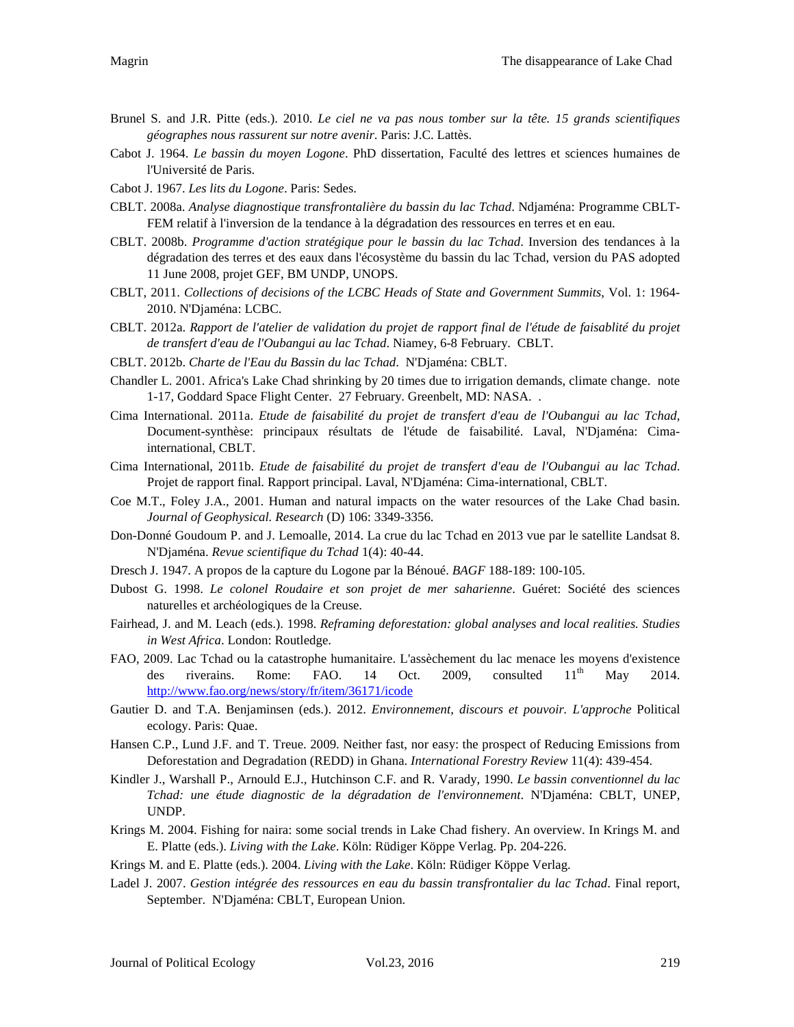- Brunel S. and J.R. Pitte (eds.). 2010. *Le ciel ne va pas nous tomber sur la tête. 15 grands scientifiques géographes nous rassurent sur notre avenir*. Paris: J.C. Lattès.
- Cabot J. 1964. *Le bassin du moyen Logone*. PhD dissertation, Faculté des lettres et sciences humaines de l'Université de Paris.
- Cabot J. 1967. *Les lits du Logone*. Paris: Sedes.
- CBLT. 2008a. *Analyse diagnostique transfrontalière du bassin du lac Tchad*. Ndjaména: Programme CBLT-FEM relatif à l'inversion de la tendance à la dégradation des ressources en terres et en eau.
- CBLT. 2008b. *Programme d'action stratégique pour le bassin du lac Tchad*. Inversion des tendances à la dégradation des terres et des eaux dans l'écosystème du bassin du lac Tchad, version du PAS adopted 11 June 2008, projet GEF, BM UNDP, UNOPS.
- CBLT, 2011. *Collections of decisions of the LCBC Heads of State and Government Summits*, Vol. 1: 1964- 2010. N'Djaména: LCBC.
- CBLT. 2012a. *Rapport de l'atelier de validation du projet de rapport final de l'étude de faisablité du projet de transfert d'eau de l'Oubangui au lac Tchad*. Niamey, 6-8 February. CBLT.
- CBLT. 2012b. *Charte de l'Eau du Bassin du lac Tchad*. N'Djaména: CBLT.
- Chandler L. 2001. Africa's Lake Chad shrinking by 20 times due to irrigation demands, climate change. note 1-17, Goddard Space Flight Center. 27 February. Greenbelt, MD: NASA. .
- Cima International. 2011a. *Etude de faisabilité du projet de transfert d'eau de l'Oubangui au lac Tchad*, Document-synthèse: principaux résultats de l'étude de faisabilité. Laval, N'Djaména: Cimainternational, CBLT.
- Cima International, 2011b. *Etude de faisabilité du projet de transfert d'eau de l'Oubangui au lac Tchad*. Projet de rapport final. Rapport principal. Laval, N'Djaména: Cima-international, CBLT.
- Coe M.T., Foley J.A., 2001. Human and natural impacts on the water resources of the Lake Chad basin. *Journal of Geophysical. Research* (D) 106: 3349-3356.
- Don-Donné Goudoum P. and J. Lemoalle, 2014. La crue du lac Tchad en 2013 vue par le satellite Landsat 8. N'Djaména. *Revue scientifique du Tchad* 1(4): 40-44.
- Dresch J. 1947. A propos de la capture du Logone par la Bénoué. *BAGF* 188-189: 100-105.
- Dubost G. 1998. *Le colonel Roudaire et son projet de mer saharienne*. Guéret: Société des sciences naturelles et archéologiques de la Creuse.
- Fairhead, J. and M. Leach (eds.). 1998. *[Reframing deforestation: global analyses and local realities.](http://sro.sussex.ac.uk/10625/) Studies [in West Africa](http://sro.sussex.ac.uk/10625/)*. London: Routledge.
- FAO, 2009. Lac Tchad ou la catastrophe humanitaire. L'assèchement du lac menace les moyens d'existence des riverains. Rome: FAO. 14 Oct. 2009, consulted 11<sup>th</sup> May 2014. [http://www.fao.org/news/story/fr/item/36171/icode](http://www.fao.org/news/story/fr/item/36171/icode/)
- Gautier D. and T.A. Benjaminsen (eds.). 2012. *Environnement, discours et pouvoir. L'approche* Political ecology. Paris: Quae.
- Hansen C.P., Lund J.F. and T. Treue. 2009. Neither fast, nor easy: the prospect of Reducing Emissions from Deforestation and Degradation (REDD) in Ghana. *International Forestry Review* 11(4): 439-454.
- Kindler J., Warshall P., Arnould E.J., Hutchinson C.F. and R. Varady, 1990. *Le bassin conventionnel du lac Tchad: une étude diagnostic de la dégradation de l'environnement*. N'Djaména: CBLT, UNEP, UNDP.
- Krings M. 2004. Fishing for naira: some social trends in Lake Chad fishery. An overview. In Krings M. and E. Platte (eds.). *Living with the Lake*. Köln: Rüdiger Köppe Verlag. Pp. 204-226.
- Krings M. and E. Platte (eds.). 2004. *Living with the Lake*. Köln: Rüdiger Köppe Verlag.
- Ladel J. 2007. *Gestion intégrée des ressources en eau du bassin transfrontalier du lac Tchad*. Final report, September. N'Djaména: CBLT, European Union.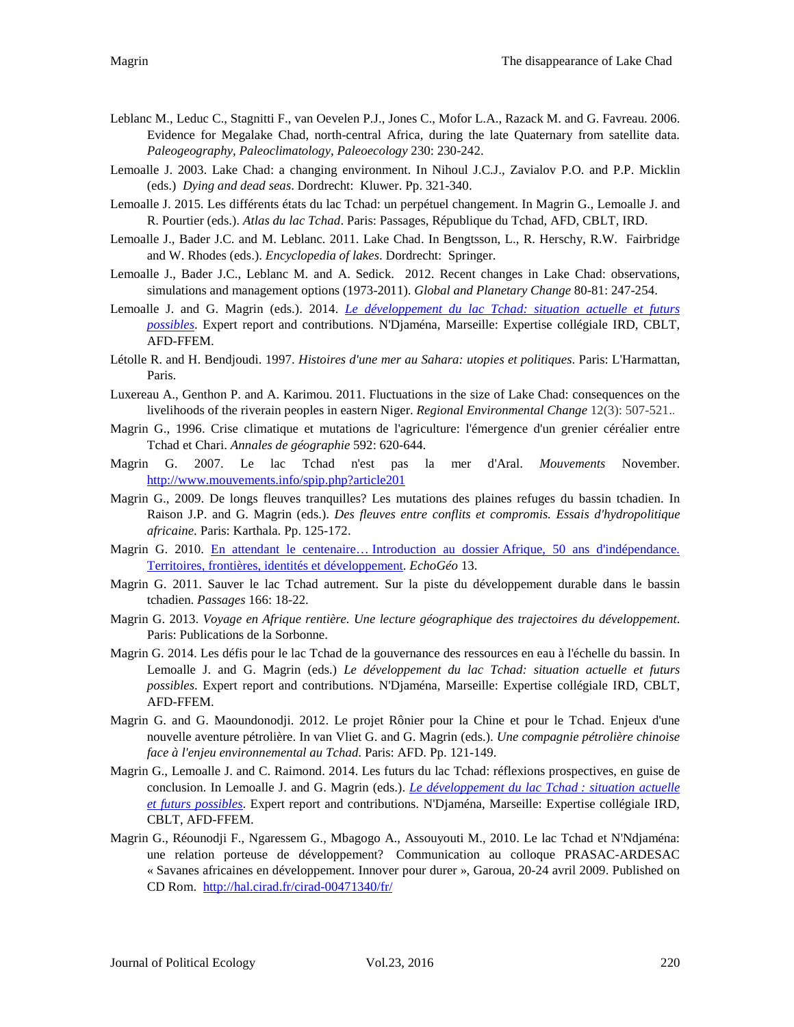- Leblanc M., Leduc C., Stagnitti F., van Oevelen P.J., Jones C., Mofor L.A., Razack M. and G. Favreau. 2006. Evidence for Megalake Chad, north-central Africa, during the late Quaternary from satellite data. *Paleogeography, Paleoclimatology, Paleoecology* 230: 230-242.
- Lemoalle J. 2003. Lake Chad: a changing environment. In Nihoul J.C.J., Zavialov P.O. and P.P. Micklin (eds.) *Dying and dead seas*. Dordrecht: Kluwer. Pp. 321-340.
- Lemoalle J. 2015. Les différents états du lac Tchad: un perpétuel changement. In Magrin G., Lemoalle J. and R. Pourtier (eds.). *Atlas du lac Tchad*. Paris: Passages, République du Tchad, AFD, CBLT, IRD.
- Lemoalle J., Bader J.C. and M. Leblanc. 2011. Lake Chad. In Bengtsson, L., R. Herschy, R.W. Fairbridge and W. Rhodes (eds.). *Encyclopedia of lakes*. Dordrecht: Springer.
- Lemoalle J., Bader J.C., Leblanc M. and A. Sedick. 2012. Recent changes in Lake Chad: observations, simulations and management options (1973-2011). *Global and Planetary Change* 80-81: 247-254.
- Lemoalle J. and G. Magrin (eds.). 2014. *[Le développement du lac Tchad: situation actuelle et futurs](http://www.gbv.de/dms/zbw/812664639.pdf)  [possibles](http://www.gbv.de/dms/zbw/812664639.pdf)*. Expert report and contributions. N'Djaména, Marseille: Expertise collégiale IRD, CBLT, AFD-FFEM.
- Létolle R. and H. Bendjoudi. 1997. *Histoires d'une mer au Sahara: utopies et politiques*. Paris: L'Harmattan, Paris.
- Luxereau A., Genthon P. and A. Karimou. 2011. Fluctuations in the size of Lake Chad: consequences on the livelihoods of the riverain peoples in eastern Niger. *Regional Environmental Change* 12(3): 507-521..
- Magrin G., 1996. Crise climatique et mutations de l'agriculture: l'émergence d'un grenier céréalier entre Tchad et Chari. *Annales de géographie* 592: 620-644.
- Magrin G. 2007. Le lac Tchad n'est pas la mer d'Aral. *Mouvements* November. <http://www.mouvements.info/spip.php?article201>
- Magrin G., 2009. De longs fleuves tranquilles? Les mutations des plaines refuges du bassin tchadien. In Raison J.P. and G. Magrin (eds.). *Des fleuves entre conflits et compromis. Essais d'hydropolitique africaine*. Paris: Karthala. Pp. 125-172.
- Magrin G. 2010. En attendant le centenaire… Introduction au dossier [Afrique, 50 ans d'indépendance.](http://echogeo.revues.org/12113)  [Territoires, frontières, identités et développement.](http://echogeo.revues.org/12113) *EchoGéo* 13.
- Magrin G. 2011. Sauver le lac Tchad autrement. Sur la piste du développement durable dans le bassin tchadien. *Passages* 166: 18-22.
- Magrin G. 2013. *Voyage en Afrique rentière. Une lecture géographique des trajectoires du développement*. Paris: Publications de la Sorbonne.
- Magrin G. 2014. Les défis pour le lac Tchad de la gouvernance des ressources en eau à l'échelle du bassin. In Lemoalle J. and G. Magrin (eds.) *Le développement du lac Tchad: situation actuelle et futurs possibles*. Expert report and contributions. N'Djaména, Marseille: Expertise collégiale IRD, CBLT, AFD-FFEM.
- Magrin G. and G. Maoundonodji. 2012. Le projet Rônier pour la Chine et pour le Tchad. Enjeux d'une nouvelle aventure pétrolière. In van Vliet G. and G. Magrin (eds.). *Une compagnie pétrolière chinoise face à l'enjeu environnemental au Tchad*. Paris: AFD. Pp. 121-149.
- Magrin G., Lemoalle J. and C. Raimond. 2014. Les futurs du lac Tchad: réflexions prospectives, en guise de conclusion. In Lemoalle J. and G. Magrin (eds.). *[Le développement du lac Tchad](http://www.gbv.de/dms/zbw/812664639.pdf) : situation actuelle [et futurs possibles](http://www.gbv.de/dms/zbw/812664639.pdf)*. Expert report and contributions. N'Djaména, Marseille: Expertise collégiale IRD, CBLT, AFD-FFEM.
- Magrin G., Réounodji F., Ngaressem G., Mbagogo A., Assouyouti M., 2010. Le lac Tchad et N'Ndjaména: une relation porteuse de développement? Communication au colloque PRASAC-ARDESAC « Savanes africaines en développement. Innover pour durer », Garoua, 20-24 avril 2009. Published on CD Rom.<http://hal.cirad.fr/cirad-00471340/fr/>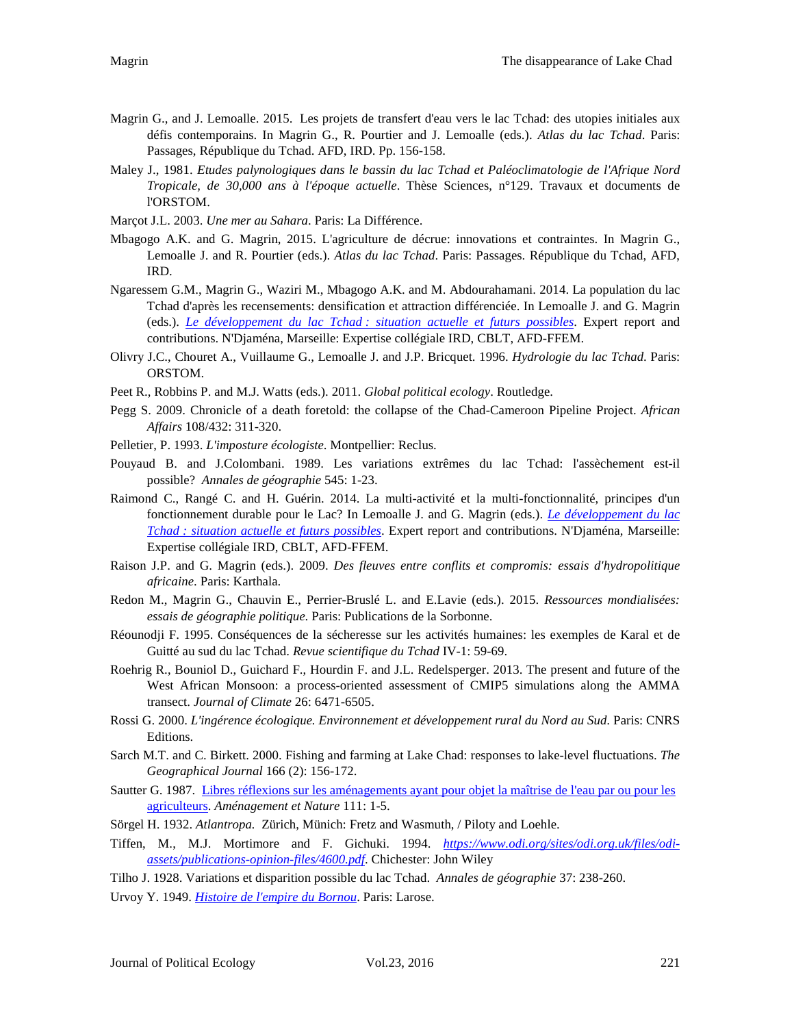- Magrin G., and J. Lemoalle. 2015. Les projets de transfert d'eau vers le lac Tchad: des utopies initiales aux défis contemporains. In Magrin G., R. Pourtier and J. Lemoalle (eds.). *Atlas du lac Tchad*. Paris: Passages, République du Tchad. AFD, IRD. Pp. 156-158.
- Maley J., 1981. *Etudes palynologiques dans le bassin du lac Tchad et Paléoclimatologie de l'Afrique Nord Tropicale, de 30,000 ans à l'époque actuelle*. Thèse Sciences, n°129. Travaux et documents de l'ORSTOM.
- Marçot J.L. 2003. *Une mer au Sahara*. Paris: La Différence.
- Mbagogo A.K. and G. Magrin, 2015. L'agriculture de décrue: innovations et contraintes. In Magrin G., Lemoalle J. and R. Pourtier (eds.). *Atlas du lac Tchad*. Paris: Passages. République du Tchad, AFD, IRD.
- Ngaressem G.M., Magrin G., Waziri M., Mbagogo A.K. and M. Abdourahamani. 2014. La population du lac Tchad d'après les recensements: densification et attraction différenciée. In Lemoalle J. and G. Magrin (eds.). *Le développement du lac Tchad [: situation actuelle et futurs possibles](http://www.gbv.de/dms/zbw/812664639.pdf)*. Expert report and contributions. N'Djaména, Marseille: Expertise collégiale IRD, CBLT, AFD-FFEM.
- Olivry J.C., Chouret A., Vuillaume G., Lemoalle J. and J.P. Bricquet. 1996. *Hydrologie du lac Tchad*. Paris: ORSTOM.
- Peet R., Robbins P. and M.J. Watts (eds.). 2011. *Global political ecology*. Routledge.
- Pegg S. 2009. Chronicle of a death foretold: the collapse of the Chad-Cameroon Pipeline Project. *African Affairs* 108/432: 311-320.
- Pelletier, P. 1993. *L'imposture écologiste*. Montpellier: Reclus.
- Pouyaud B. and J.Colombani. 1989. Les variations extrêmes du lac Tchad: l'assèchement est-il possible? *Annales de géographie* 545: 1-23.
- Raimond C., Rangé C. and H. Guérin. 2014. La multi-activité et la multi-fonctionnalité, principes d'un fonctionnement durable pour le Lac? In Lemoalle J. and G. Magrin (eds.). *[Le développement du lac](http://www.gbv.de/dms/zbw/812664639.pdf)  Tchad [: situation actuelle et futurs possibles](http://www.gbv.de/dms/zbw/812664639.pdf)*. Expert report and contributions. N'Djaména, Marseille: Expertise collégiale IRD, CBLT, AFD-FFEM.
- Raison J.P. and G. Magrin (eds.). 2009. *Des fleuves entre conflits et compromis: essais d'hydropolitique africaine*. Paris: Karthala.
- Redon M., Magrin G., Chauvin E., Perrier-Bruslé L. and E.Lavie (eds.). 2015. *Ressources mondialisées: essais de géographie politique*. Paris: Publications de la Sorbonne.
- Réounodji F. 1995. Conséquences de la sécheresse sur les activités humaines: les exemples de Karal et de Guitté au sud du lac Tchad. *Revue scientifique du Tchad* IV-1: 59-69.
- Roehrig R., Bouniol D., Guichard F., Hourdin F. and J.L. Redelsperger. 2013. The present and future of the West African Monsoon: a process-oriented assessment of CMIP5 simulations along the AMMA transect. *Journal of Climate* 26: 6471-6505.
- Rossi G. 2000. *L'ingérence écologique. Environnement et développement rural du Nord au Sud.* Paris: CNRS Editions.
- Sarch M.T. and C. Birkett. 2000. Fishing and farming at Lake Chad: responses to lake-level fluctuations. *The Geographical Journal* 166 (2): 156-172.
- Sautter G. 1987. [Libres réflexions sur les aménagements ayant pour objet la maîtrise de l'eau par ou pour les](http://documents.irevues.inist.fr/bitstream/handle/2042/49417/AetN_1993_111_3.pdf?sequence=1)  [agriculteurs.](http://documents.irevues.inist.fr/bitstream/handle/2042/49417/AetN_1993_111_3.pdf?sequence=1) *Aménagement et Nature* 111: 1-5.
- Sörgel H. 1932. *Atlantropa.* Zürich, Münich: Fretz and Wasmuth, / Piloty and Loehle.
- Tiffen, M., M.J. Mortimore and F. Gichuki. 1994. *[https://www.odi.org/sites/odi.org.uk/files/odi](https://www.odi.org/sites/odi.org.uk/files/odi-assets/publications-opinion-files/4600.pdf)[assets/publications-opinion-files/4600.pdf](https://www.odi.org/sites/odi.org.uk/files/odi-assets/publications-opinion-files/4600.pdf)*. Chichester: John Wiley
- Tilho J. 1928. Variations et disparition possible du lac Tchad. *Annales de géographie* 37: 238-260.
- Urvoy Y. 1949. *[Histoire de l'empire du Bornou](http://gallica.bnf.fr/ark:/12148/bpt6k841256/f19.image.r=)*. Paris: Larose.